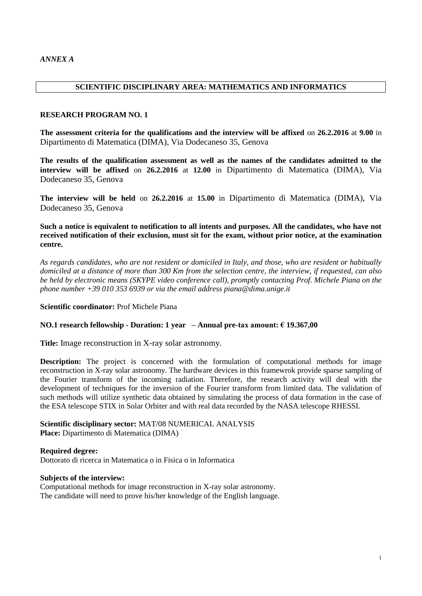## **SCIENTIFIC DISCIPLINARY AREA: MATHEMATICS AND INFORMATICS**

#### **RESEARCH PROGRAM NO. 1**

**The assessment criteria for the qualifications and the interview will be affixed** on **26.2.2016** at **9.00** in Dipartimento di Matematica (DIMA), Via Dodecaneso 35, Genova

**The results of the qualification assessment as well as the names of the candidates admitted to the interview will be affixed** on **26.2.2016** at **12.00** in Dipartimento di Matematica (DIMA), Via Dodecaneso 35, Genova

**The interview will be held** on **26.2.2016** at **15.00** in Dipartimento di Matematica (DIMA), Via Dodecaneso 35, Genova

**Such a notice is equivalent to notification to all intents and purposes. All the candidates, who have not received notification of their exclusion, must sit for the exam, without prior notice, at the examination centre.**

*As regards candidates, who are not resident or domiciled in Italy, and those, who are resident or habitually domiciled at a distance of more than 300 Km from the selection centre, the interview, if requested, can also be held by electronic means (SKYPE video conference call), promptly contacting Prof. Michele Piana on the phone number +39 010 353 6939 or via the email address piana@dima.unige.it*

**Scientific coordinator:** Prof Michele Piana

#### **NO.1 research fellowship - Duration: 1 year – Annual pre-tax amount: € 19.367,00**

**Title:** Image reconstruction in X-ray solar astronomy.

**Description:** The project is concerned with the formulation of computational methods for image reconstruction in X-ray solar astronomy. The hardware devices in this framewrok provide sparse sampling of the Fourier transform of the incoming radiation. Therefore, the research activity will deal with the development of techniques for the inversion of the Fourier transform from limited data. The validation of such methods will utilize synthetic data obtained by simulating the process of data formation in the case of the ESA telescope STIX in Solar Orbiter and with real data recorded by the NASA telescope RHESSI.

**Scientific disciplinary sector:** MAT/08 NUMERICAL ANALYSIS **Place:** Dipartimento di Matematica (DIMA)

**Required degree:**  Dottorato di ricerca in Matematica o in Fisica o in Informatica

#### **Subjects of the interview:**

Computational methods for image reconstruction in X-ray solar astronomy. The candidate will need to prove his/her knowledge of the English language.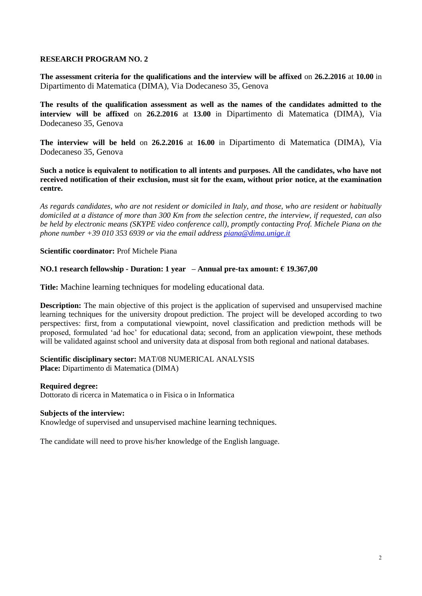**The assessment criteria for the qualifications and the interview will be affixed** on **26.2.2016** at **10.00** in Dipartimento di Matematica (DIMA), Via Dodecaneso 35, Genova

**The results of the qualification assessment as well as the names of the candidates admitted to the interview will be affixed** on **26.2.2016** at **13.00** in Dipartimento di Matematica (DIMA), Via Dodecaneso 35, Genova

**The interview will be held** on **26.2.2016** at **16.00** in Dipartimento di Matematica (DIMA), Via Dodecaneso 35, Genova

**Such a notice is equivalent to notification to all intents and purposes. All the candidates, who have not received notification of their exclusion, must sit for the exam, without prior notice, at the examination centre.**

*As regards candidates, who are not resident or domiciled in Italy, and those, who are resident or habitually domiciled at a distance of more than 300 Km from the selection centre, the interview, if requested, can also be held by electronic means (SKYPE video conference call), promptly contacting Prof. Michele Piana on the phone number +39 010 353 6939 or via the email address [piana@dima.unige.it](mailto:piana@dima.unige.it)*

## **Scientific coordinator:** Prof Michele Piana

# **NO.1 research fellowship - Duration: 1 year – Annual pre-tax amount: € 19.367,00**

**Title:** Machine learning techniques for modeling educational data.

**Description:** The main objective of this project is the application of supervised and unsupervised machine learning techniques for the university dropout prediction. The project will be developed according to two perspectives: first, from a computational viewpoint, novel classification and prediction methods will be proposed, formulated 'ad hoc' for educational data; second, from an application viewpoint, these methods will be validated against school and university data at disposal from both regional and national databases.

#### **Scientific disciplinary sector:** MAT/08 NUMERICAL ANALYSIS **Place:** Dipartimento di Matematica (DIMA)

## **Required degree:**

Dottorato di ricerca in Matematica o in Fisica o in Informatica

## **Subjects of the interview:**

Knowledge of supervised and unsupervised machine learning techniques.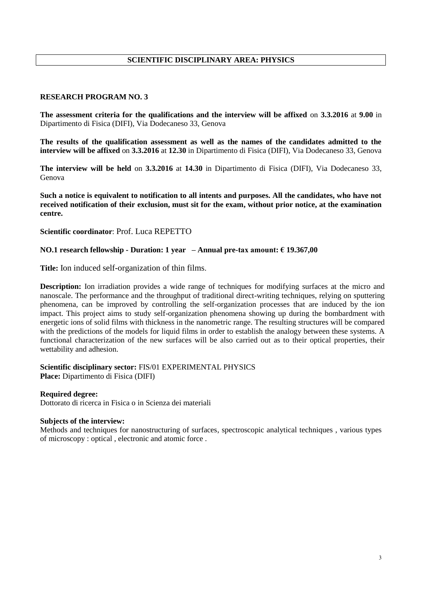# **SCIENTIFIC DISCIPLINARY AREA: PHYSICS**

#### **RESEARCH PROGRAM NO. 3**

**The assessment criteria for the qualifications and the interview will be affixed** on **3.3.2016** at **9.00** in Dipartimento di Fisica (DIFI), Via Dodecaneso 33, Genova

**The results of the qualification assessment as well as the names of the candidates admitted to the interview will be affixed** on **3.3.2016** at **12.30** in Dipartimento di Fisica (DIFI), Via Dodecaneso 33, Genova

**The interview will be held** on **3.3.2016** at **14.30** in Dipartimento di Fisica (DIFI), Via Dodecaneso 33, Genova

**Such a notice is equivalent to notification to all intents and purposes. All the candidates, who have not received notification of their exclusion, must sit for the exam, without prior notice, at the examination centre.**

**Scientific coordinator**: Prof. Luca REPETTO

#### **NO.1 research fellowship - Duration: 1 year – Annual pre-tax amount: € 19.367,00**

**Title:** Ion induced self-organization of thin films.

**Description:** Ion irradiation provides a wide range of techniques for modifying surfaces at the micro and nanoscale. The performance and the throughput of traditional direct-writing techniques, relying on sputtering phenomena, can be improved by controlling the self-organization processes that are induced by the ion impact. This project aims to study self-organization phenomena showing up during the bombardment with energetic ions of solid films with thickness in the nanometric range. The resulting structures will be compared with the predictions of the models for liquid films in order to establish the analogy between these systems. A functional characterization of the new surfaces will be also carried out as to their optical properties, their wettability and adhesion.

#### **Scientific disciplinary sector:** FIS/01 EXPERIMENTAL PHYSICS **Place:** Dipartimento di Fisica (DIFI)

**Required degree:** 

Dottorato di ricerca in Fisica o in Scienza dei materiali

#### **Subjects of the interview:**

Methods and techniques for nanostructuring of surfaces, spectroscopic analytical techniques , various types of microscopy : optical , electronic and atomic force .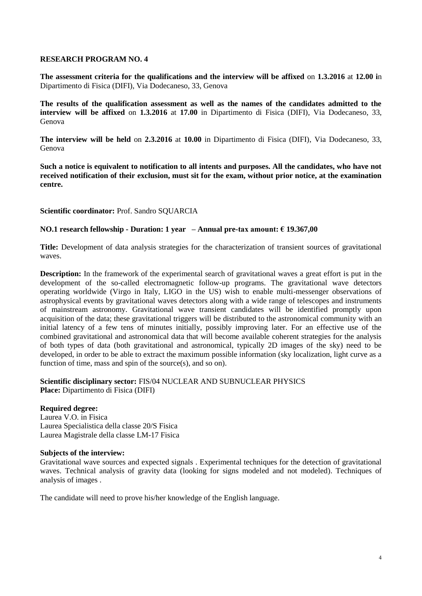**The assessment criteria for the qualifications and the interview will be affixed** on **1.3.2016** at **12.00 i**n Dipartimento di Fisica (DIFI), Via Dodecaneso, 33, Genova

**The results of the qualification assessment as well as the names of the candidates admitted to the interview will be affixed** on **1.3.2016** at **17.00** in Dipartimento di Fisica (DIFI), Via Dodecaneso, 33, Genova

**The interview will be held** on **2.3.2016** at **10.00** in Dipartimento di Fisica (DIFI), Via Dodecaneso, 33, Genova

**Such a notice is equivalent to notification to all intents and purposes. All the candidates, who have not received notification of their exclusion, must sit for the exam, without prior notice, at the examination centre.**

**Scientific coordinator:** Prof. Sandro SQUARCIA

# **NO.1 research fellowship - Duration: 1 year – Annual pre-tax amount: € 19.367,00**

**Title:** Development of data analysis strategies for the characterization of transient sources of gravitational waves.

**Description:** In the framework of the experimental search of gravitational waves a great effort is put in the development of the so-called electromagnetic follow-up programs. The gravitational wave detectors operating worldwide (Virgo in Italy, LIGO in the US) wish to enable multi-messenger observations of astrophysical events by gravitational waves detectors along with a wide range of telescopes and instruments of mainstream astronomy. Gravitational wave transient candidates will be identified promptly upon acquisition of the data; these gravitational triggers will be distributed to the astronomical community with an initial latency of a few tens of minutes initially, possibly improving later. For an effective use of the combined gravitational and astronomical data that will become available coherent strategies for the analysis of both types of data (both gravitational and astronomical, typically 2D images of the sky) need to be developed, in order to be able to extract the maximum possible information (sky localization, light curve as a function of time, mass and spin of the source(s), and so on).

## **Scientific disciplinary sector:** FIS/04 NUCLEAR AND SUBNUCLEAR PHYSICS **Place:** Dipartimento di Fisica (DIFI)

## **Required degree:**

Laurea V.O. in Fisica Laurea Specialistica della classe 20/S Fisica Laurea Magistrale della classe LM-17 Fisica

## **Subjects of the interview:**

Gravitational wave sources and expected signals . Experimental techniques for the detection of gravitational waves. Technical analysis of gravity data (looking for signs modeled and not modeled). Techniques of analysis of images .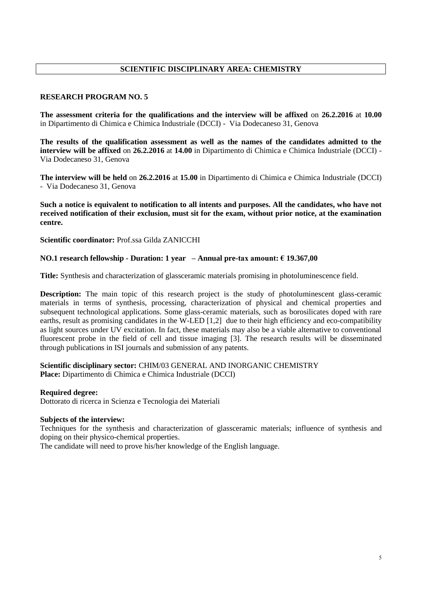# **SCIENTIFIC DISCIPLINARY AREA: CHEMISTRY**

## **RESEARCH PROGRAM NO. 5**

**The assessment criteria for the qualifications and the interview will be affixed** on **26.2.2016** at **10.00**  in Dipartimento di Chimica e Chimica Industriale (DCCI) - Via Dodecaneso 31, Genova

**The results of the qualification assessment as well as the names of the candidates admitted to the interview will be affixed** on **26.2.2016** at **14.00** in Dipartimento di Chimica e Chimica Industriale (DCCI) - Via Dodecaneso 31, Genova

**The interview will be held** on **26.2.2016** at **15.00** in Dipartimento di Chimica e Chimica Industriale (DCCI) - Via Dodecaneso 31, Genova

**Such a notice is equivalent to notification to all intents and purposes. All the candidates, who have not received notification of their exclusion, must sit for the exam, without prior notice, at the examination centre.**

**Scientific coordinator:** Prof.ssa Gilda ZANICCHI

# **NO.1 research fellowship - Duration: 1 year – Annual pre-tax amount: € 19.367,00**

**Title:** Synthesis and characterization of glassceramic materials promising in photoluminescence field.

**Description:** The main topic of this research project is the study of photoluminescent glass-ceramic materials in terms of synthesis, processing, characterization of physical and chemical properties and subsequent technological applications. Some glass-ceramic materials, such as borosilicates doped with rare earths, result as promising candidates in the W-LED [1,2] due to their high efficiency and eco-compatibility as light sources under UV excitation. In fact, these materials may also be a viable alternative to conventional fluorescent probe in the field of cell and tissue imaging [3]. The research results will be disseminated through publications in ISI journals and submission of any patents.

**Scientific disciplinary sector:** CHIM/03 GENERAL AND INORGANIC CHEMISTRY **Place:** Dipartimento di Chimica e Chimica Industriale (DCCI)

## **Required degree:**

Dottorato di ricerca in Scienza e Tecnologia dei Materiali

## **Subjects of the interview:**

Techniques for the synthesis and characterization of glassceramic materials; influence of synthesis and doping on their physico-chemical properties.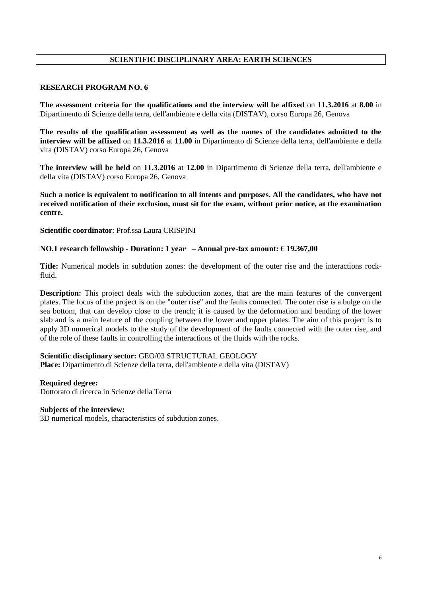# **SCIENTIFIC DISCIPLINARY AREA: EARTH SCIENCES**

#### **RESEARCH PROGRAM NO. 6**

**The assessment criteria for the qualifications and the interview will be affixed** on **11.3.2016** at **8.00** in Dipartimento di Scienze della terra, dell'ambiente e della vita (DISTAV), corso Europa 26, Genova

**The results of the qualification assessment as well as the names of the candidates admitted to the interview will be affixed** on **11.3.2016** at **11.00** in Dipartimento di Scienze della terra, dell'ambiente e della vita (DISTAV) corso Europa 26, Genova

**The interview will be held** on **11.3.2016** at **12.00** in Dipartimento di Scienze della terra, dell'ambiente e della vita (DISTAV) corso Europa 26, Genova

**Such a notice is equivalent to notification to all intents and purposes. All the candidates, who have not received notification of their exclusion, must sit for the exam, without prior notice, at the examination centre.**

**Scientific coordinator**: Prof.ssa Laura CRISPINI

#### **NO.1 research fellowship - Duration: 1 year – Annual pre-tax amount: € 19.367,00**

**Title:** Numerical models in subdution zones: the development of the outer rise and the interactions rockfluid.

**Description:** This project deals with the subduction zones, that are the main features of the convergent plates. The focus of the project is on the "outer rise" and the faults connected. The outer rise is a bulge on the sea bottom, that can develop close to the trench; it is caused by the deformation and bending of the lower slab and is a main feature of the coupling between the lower and upper plates. The aim of this project is to apply 3D numerical models to the study of the development of the faults connected with the outer rise, and of the role of these faults in controlling the interactions of the fluids with the rocks.

#### **Scientific disciplinary sector:** GEO/03 STRUCTURAL GEOLOGY

**Place:** Dipartimento di Scienze della terra, dell'ambiente e della vita (DISTAV)

#### **Required degree:**

Dottorato di ricerca in Scienze della Terra

# **Subjects of the interview:**

3D numerical models, characteristics of subdution zones.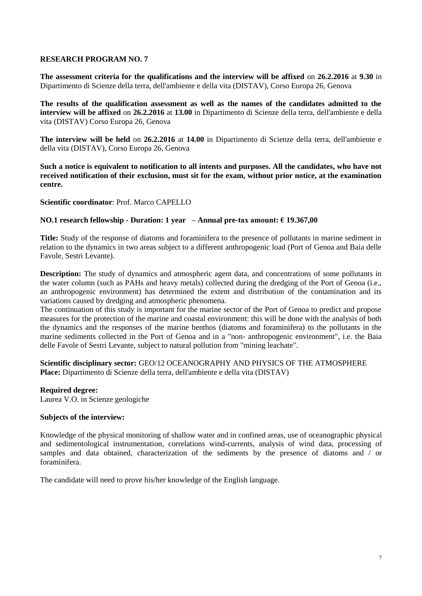**The assessment criteria for the qualifications and the interview will be affixed** on **26.2.2016** at **9.30** in Dipartimento di Scienze della terra, dell'ambiente e della vita (DISTAV), Corso Europa 26, Genova

**The results of the qualification assessment as well as the names of the candidates admitted to the interview will be affixed** on **26.2.2016** at **13.00** in Dipartimento di Scienze della terra, dell'ambiente e della vita (DISTAV) Corso Europa 26, Genova

**The interview will be held** on **26.2.2016** at **14.00** in Dipartimento di Scienze della terra, dell'ambiente e della vita (DISTAV), Corso Europa 26, Genova

**Such a notice is equivalent to notification to all intents and purposes. All the candidates, who have not received notification of their exclusion, must sit for the exam, without prior notice, at the examination centre.**

## **Scientific coordinator**: Prof. Marco CAPELLO

## **NO.1 research fellowship - Duration: 1 year – Annual pre-tax amount: € 19.367,00**

**Title:** Study of the response of diatoms and foraminifera to the presence of pollutants in marine sediment in relation to the dynamics in two areas subject to a different anthropogenic load (Port of Genoa and Baia delle Favole, Sestri Levante).

**Description:** The study of dynamics and atmospheric agent data, and concentrations of some pollutants in the water column (such as PAHs and heavy metals) collected during the dredging of the Port of Genoa (i.e., an anthropogenic environment) has determined the extent and distribution of the contamination and its variations caused by dredging and atmospheric phenomena.

The continuation of this study is important for the marine sector of the Port of Genoa to predict and propose measures for the protection of the marine and coastal environment: this will be done with the analysis of both the dynamics and the responses of the marine benthos (diatoms and foraminifera) to the pollutants in the marine sediments collected in the Port of Genoa and in a "non- anthropogenic environment", i.e. the Baia delle Favole of Sestri Levante, subject to natural pollution from "mining leachate".

**Scientific disciplinary sector:** GEO/12 OCEANOGRAPHY AND PHYSICS OF THE ATMOSPHERE **Place:** Dipartimento di Scienze della terra, dell'ambiente e della vita (DISTAV)

## **Required degree:**

Laurea V.O. in Scienze geologiche

#### **Subjects of the interview:**

Knowledge of the physical monitoring of shallow water and in confined areas, use of oceanographic physical and sedimentological instrumentation, correlations wind-currents, analysis of wind data, processing of samples and data obtained, characterization of the sediments by the presence of diatoms and / or foraminifera.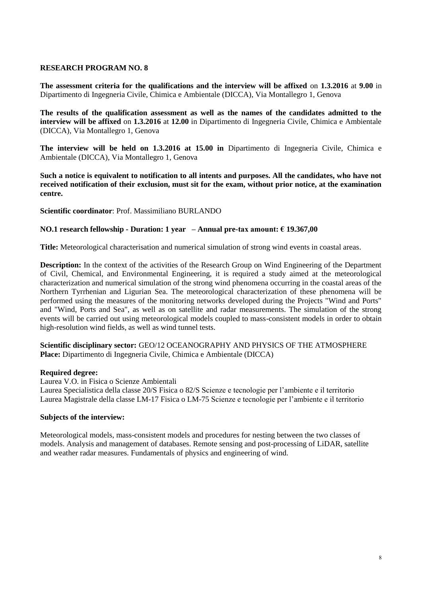**The assessment criteria for the qualifications and the interview will be affixed** on **1.3.2016** at **9.00** in Dipartimento di Ingegneria Civile, Chimica e Ambientale (DICCA), Via Montallegro 1, Genova

**The results of the qualification assessment as well as the names of the candidates admitted to the interview will be affixed** on **1.3.2016** at **12.00** in Dipartimento di Ingegneria Civile, Chimica e Ambientale (DICCA), Via Montallegro 1, Genova

**The interview will be held on 1.3.2016 at 15.00 in** Dipartimento di Ingegneria Civile, Chimica e Ambientale (DICCA), Via Montallegro 1, Genova

**Such a notice is equivalent to notification to all intents and purposes. All the candidates, who have not received notification of their exclusion, must sit for the exam, without prior notice, at the examination centre.**

**Scientific coordinator**: Prof. Massimiliano BURLANDO

## **NO.1 research fellowship - Duration: 1 year – Annual pre-tax amount: € 19.367,00**

**Title:** Meteorological characterisation and numerical simulation of strong wind events in coastal areas.

**Description:** In the context of the activities of the Research Group on Wind Engineering of the Department of Civil, Chemical, and Environmental Engineering, it is required a study aimed at the meteorological characterization and numerical simulation of the strong wind phenomena occurring in the coastal areas of the Northern Tyrrhenian and Ligurian Sea. The meteorological characterization of these phenomena will be performed using the measures of the monitoring networks developed during the Projects "Wind and Ports" and "Wind, Ports and Sea", as well as on satellite and radar measurements. The simulation of the strong events will be carried out using meteorological models coupled to mass-consistent models in order to obtain high-resolution wind fields, as well as wind tunnel tests.

**Scientific disciplinary sector:** GEO/12 OCEANOGRAPHY AND PHYSICS OF THE ATMOSPHERE **Place:** Dipartimento di Ingegneria Civile, Chimica e Ambientale (DICCA)

## **Required degree:**

Laurea V.O. in Fisica o Scienze Ambientali Laurea Specialistica della classe 20/S Fisica o 82/S Scienze e tecnologie per l'ambiente e il territorio Laurea Magistrale della classe LM-17 Fisica o LM-75 Scienze e tecnologie per l'ambiente e il territorio

## **Subjects of the interview:**

Meteorological models, mass-consistent models and procedures for nesting between the two classes of models. Analysis and management of databases. Remote sensing and post-processing of LiDAR, satellite and weather radar measures. Fundamentals of physics and engineering of wind.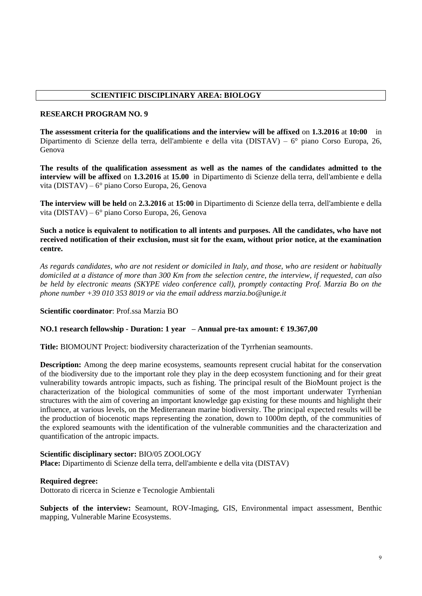## **SCIENTIFIC DISCIPLINARY AREA: BIOLOGY**

#### **RESEARCH PROGRAM NO. 9**

**The assessment criteria for the qualifications and the interview will be affixed** on **1.3.2016** at **10:00** in Dipartimento di Scienze della terra, dell'ambiente e della vita (DISTAV) – 6° piano Corso Europa, 26, Genova

**The results of the qualification assessment as well as the names of the candidates admitted to the interview will be affixed** on **1.3.2016** at **15.00** in Dipartimento di Scienze della terra, dell'ambiente e della vita (DISTAV) – 6° piano Corso Europa, 26, Genova

**The interview will be held** on **2.3.2016** at **15:00** in Dipartimento di Scienze della terra, dell'ambiente e della vita (DISTAV) – 6° piano Corso Europa, 26, Genova

**Such a notice is equivalent to notification to all intents and purposes. All the candidates, who have not received notification of their exclusion, must sit for the exam, without prior notice, at the examination centre.**

*As regards candidates, who are not resident or domiciled in Italy, and those, who are resident or habitually domiciled at a distance of more than 300 Km from the selection centre, the interview, if requested, can also be held by electronic means (SKYPE video conference call), promptly contacting Prof. Marzia Bo on the phone number +39 010 353 8019 or via the email address marzia.bo@unige.it*

# **Scientific coordinator**: Prof.ssa Marzia BO

## **NO.1 research fellowship - Duration: 1 year – Annual pre-tax amount: € 19.367,00**

**Title:** BIOMOUNT Project: biodiversity characterization of the Tyrrhenian seamounts.

**Description:** Among the deep marine ecosystems, seamounts represent crucial habitat for the conservation of the biodiversity due to the important role they play in the deep ecosystem functioning and for their great vulnerability towards antropic impacts, such as fishing. The principal result of the BioMount project is the characterization of the biological communities of some of the most important underwater Tyrrhenian structures with the aim of covering an important knowledge gap existing for these mounts and highlight their influence, at various levels, on the Mediterranean marine biodiversity. The principal expected results will be the production of biocenotic maps representing the zonation, down to 1000m depth, of the communities of the explored seamounts with the identification of the vulnerable communities and the characterization and quantification of the antropic impacts.

#### **Scientific disciplinary sector:** BIO/05 ZOOLOGY

**Place:** Dipartimento di Scienze della terra, dell'ambiente e della vita (DISTAV)

#### **Required degree:**

Dottorato di ricerca in Scienze e Tecnologie Ambientali

**Subjects of the interview:** Seamount, ROV-Imaging, GIS, Environmental impact assessment, Benthic mapping, Vulnerable Marine Ecosystems.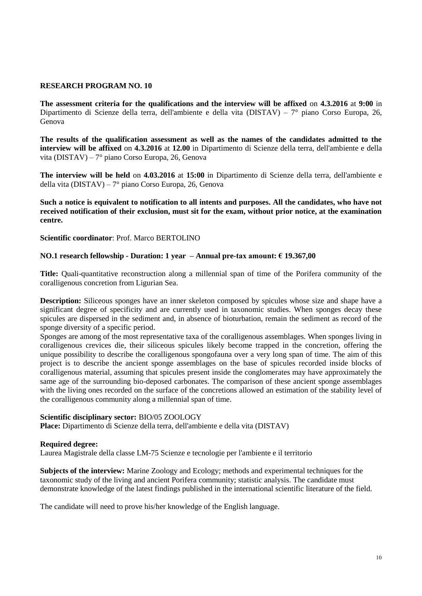**The assessment criteria for the qualifications and the interview will be affixed** on **4.3.2016** at **9:00** in Dipartimento di Scienze della terra, dell'ambiente e della vita (DISTAV) – 7° piano Corso Europa, 26, Genova

**The results of the qualification assessment as well as the names of the candidates admitted to the interview will be affixed** on **4.3.2016** at **12.00** in Dipartimento di Scienze della terra, dell'ambiente e della vita (DISTAV) – 7° piano Corso Europa, 26, Genova

**The interview will be held** on **4.03.2016** at **15:00** in Dipartimento di Scienze della terra, dell'ambiente e della vita (DISTAV) – 7° piano Corso Europa, 26, Genova

**Such a notice is equivalent to notification to all intents and purposes. All the candidates, who have not received notification of their exclusion, must sit for the exam, without prior notice, at the examination centre.**

**Scientific coordinator**: Prof. Marco BERTOLINO

#### **NO.1 research fellowship - Duration: 1 year – Annual pre-tax amount: € 19.367,00**

**Title:** Quali-quantitative reconstruction along a millennial span of time of the Porifera community of the coralligenous concretion from Ligurian Sea.

**Description:** Siliceous sponges have an inner skeleton composed by spicules whose size and shape have a significant degree of specificity and are currently used in taxonomic studies. When sponges decay these spicules are dispersed in the sediment and, in absence of bioturbation, remain the sediment as record of the sponge diversity of a specific period.

Sponges are among of the most representative taxa of the coralligenous assemblages. When sponges living in coralligenous crevices die, their siliceous spicules likely become trapped in the concretion, offering the unique possibility to describe the coralligenous spongofauna over a very long span of time. The aim of this project is to describe the ancient sponge assemblages on the base of spicules recorded inside blocks of coralligenous material, assuming that spicules present inside the conglomerates may have approximately the same age of the surrounding bio-deposed carbonates. The comparison of these ancient sponge assemblages with the living ones recorded on the surface of the concretions allowed an estimation of the stability level of the coralligenous community along a millennial span of time.

#### **Scientific disciplinary sector:** BIO/05 ZOOLOGY

**Place:** Dipartimento di Scienze della terra, dell'ambiente e della vita (DISTAV)

#### **Required degree:**

Laurea Magistrale della classe LM-75 Scienze e tecnologie per l'ambiente e il territorio

**Subjects of the interview:** Marine Zoology and Ecology; methods and experimental techniques for the taxonomic study of the living and ancient Porifera community; statistic analysis. The candidate must demonstrate knowledge of the latest findings published in the international scientific literature of the field.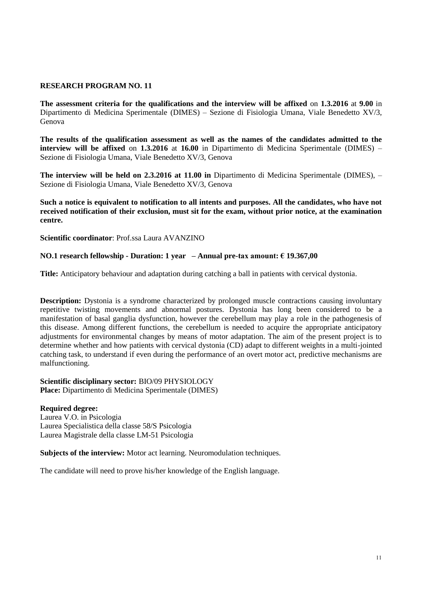**The assessment criteria for the qualifications and the interview will be affixed** on **1.3.2016** at **9.00** in Dipartimento di Medicina Sperimentale (DIMES) – Sezione di Fisiologia Umana, Viale Benedetto XV/3, Genova

**The results of the qualification assessment as well as the names of the candidates admitted to the interview will be affixed** on **1.3.2016** at **16.00** in Dipartimento di Medicina Sperimentale (DIMES) – Sezione di Fisiologia Umana, Viale Benedetto XV/3, Genova

**The interview will be held on 2.3.2016 at 11.00 in** Dipartimento di Medicina Sperimentale (DIMES), – Sezione di Fisiologia Umana, Viale Benedetto XV/3, Genova

**Such a notice is equivalent to notification to all intents and purposes. All the candidates, who have not received notification of their exclusion, must sit for the exam, without prior notice, at the examination centre.**

**Scientific coordinator**: Prof.ssa Laura AVANZINO

## **NO.1 research fellowship - Duration: 1 year – Annual pre-tax amount: € 19.367,00**

**Title:** Anticipatory behaviour and adaptation during catching a ball in patients with cervical dystonia.

**Description:** Dystonia is a syndrome characterized by prolonged muscle contractions causing involuntary repetitive twisting movements and abnormal postures. Dystonia has long been considered to be a manifestation of basal ganglia dysfunction, however the cerebellum may play a role in the pathogenesis of this disease. Among different functions, the cerebellum is needed to acquire the appropriate anticipatory adjustments for environmental changes by means of motor adaptation. The aim of the present project is to determine whether and how patients with cervical dystonia (CD) adapt to different weights in a multi-jointed catching task, to understand if even during the performance of an overt motor act, predictive mechanisms are malfunctioning.

**Scientific disciplinary sector:** BIO/09 PHYSIOLOGY **Place:** Dipartimento di Medicina Sperimentale (DIMES)

**Required degree:**  Laurea V.O. in Psicologia Laurea Specialistica della classe 58/S Psicologia Laurea Magistrale della classe LM-51 Psicologia

**Subjects of the interview:** Motor act learning. Neuromodulation techniques.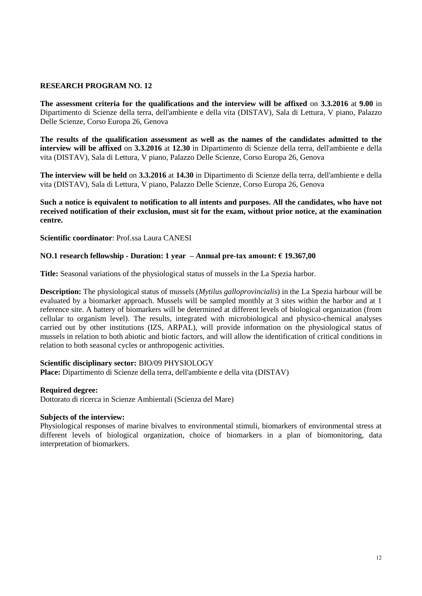**The assessment criteria for the qualifications and the interview will be affixed** on **3.3.2016** at **9.00** in Dipartimento di Scienze della terra, dell'ambiente e della vita (DISTAV), Sala di Lettura, V piano, Palazzo Delle Scienze, Corso Europa 26, Genova

**The results of the qualification assessment as well as the names of the candidates admitted to the interview will be affixed** on **3.3.2016** at **12.30** in Dipartimento di Scienze della terra, dell'ambiente e della vita (DISTAV), Sala di Lettura, V piano, Palazzo Delle Scienze, Corso Europa 26, Genova

**The interview will be held** on **3.3.2016** at **14.30** in Dipartimento di Scienze della terra, dell'ambiente e della vita (DISTAV), Sala di Lettura, V piano, Palazzo Delle Scienze, Corso Europa 26, Genova

## **Such a notice is equivalent to notification to all intents and purposes. All the candidates, who have not received notification of their exclusion, must sit for the exam, without prior notice, at the examination centre.**

**Scientific coordinator**: Prof.ssa Laura CANESI

## **NO.1 research fellowship - Duration: 1 year – Annual pre-tax amount: € 19.367,00**

**Title:** Seasonal variations of the physiological status of mussels in the La Spezia harbor.

**Description:** The physiological status of mussels (*Mytilus galloprovincialis*) in the La Spezia harbour will be evaluated by a biomarker approach. Mussels will be sampled monthly at 3 sites within the harbor and at 1 reference site. A battery of biomarkers will be determined at different levels of biological organization (from cellular to organism level). The results, integrated with microbiological and physico-chemical analyses carried out by other institutions (IZS, ARPAL), will provide information on the physiological status of mussels in relation to both abiotic and biotic factors, and will allow the identification of critical conditions in relation to both seasonal cycles or anthropogenic activities.

## **Scientific disciplinary sector:** BIO/09 PHYSIOLOGY

**Place:** Dipartimento di Scienze della terra, dell'ambiente e della vita (DISTAV)

## **Required degree:**

Dottorato di ricerca in Scienze Ambientali (Scienza del Mare)

## **Subjects of the interview:**

Physiological responses of marine bivalves to environmental stimuli, biomarkers of environmental stress at different levels of biological organization, choice of biomarkers in a plan of biomonitoring, data interpretation of biomarkers.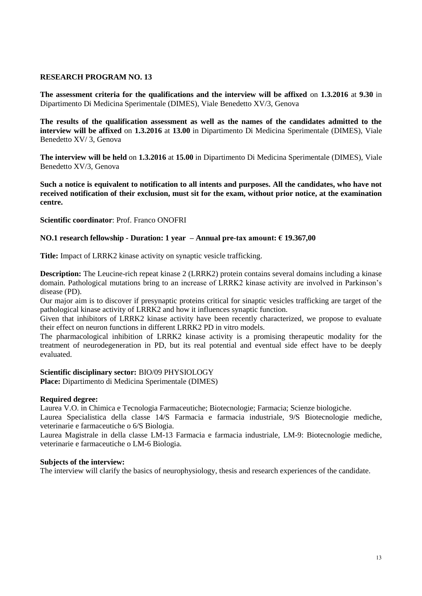**The assessment criteria for the qualifications and the interview will be affixed** on **1.3.2016** at **9.30** in Dipartimento Di Medicina Sperimentale (DIMES), Viale Benedetto XV/3, Genova

**The results of the qualification assessment as well as the names of the candidates admitted to the interview will be affixed** on **1.3.2016** at **13.00** in Dipartimento Di Medicina Sperimentale (DIMES), Viale Benedetto XV/ 3, Genova

**The interview will be held** on **1.3.2016** at **15.00** in Dipartimento Di Medicina Sperimentale (DIMES), Viale Benedetto XV/3, Genova

**Such a notice is equivalent to notification to all intents and purposes. All the candidates, who have not received notification of their exclusion, must sit for the exam, without prior notice, at the examination centre.**

**Scientific coordinator**: Prof. Franco ONOFRI

# **NO.1 research fellowship - Duration: 1 year – Annual pre-tax amount: € 19.367,00**

**Title:** Impact of LRRK2 kinase activity on synaptic vesicle trafficking.

**Description:** The Leucine-rich repeat kinase 2 (LRRK2) protein contains several domains including a kinase domain. Pathological mutations bring to an increase of LRRK2 kinase activity are involved in Parkinson's disease (PD).

Our major aim is to discover if presynaptic proteins critical for sinaptic vesicles trafficking are target of the pathological kinase activity of LRRK2 and how it influences synaptic function.

Given that inhibitors of LRRK2 kinase activity have been recently characterized, we propose to evaluate their effect on neuron functions in different LRRK2 PD in vitro models.

The pharmacological inhibition of LRRK2 kinase activity is a promising therapeutic modality for the treatment of neurodegeneration in PD, but its real potential and eventual side effect have to be deeply evaluated.

## **Scientific disciplinary sector:** BIO/09 PHYSIOLOGY

**Place:** Dipartimento di Medicina Sperimentale (DIMES)

## **Required degree:**

Laurea V.O. in Chimica e Tecnologia Farmaceutiche; Biotecnologie; Farmacia; Scienze biologiche. Laurea Specialistica della classe 14/S Farmacia e farmacia industriale, 9/S Biotecnologie mediche,

veterinarie e farmaceutiche o 6/S Biologia.

Laurea Magistrale in della classe LM-13 Farmacia e farmacia industriale, LM-9: Biotecnologie mediche, veterinarie e farmaceutiche o LM-6 Biologia.

## **Subjects of the interview:**

The interview will clarify the basics of neurophysiology, thesis and research experiences of the candidate.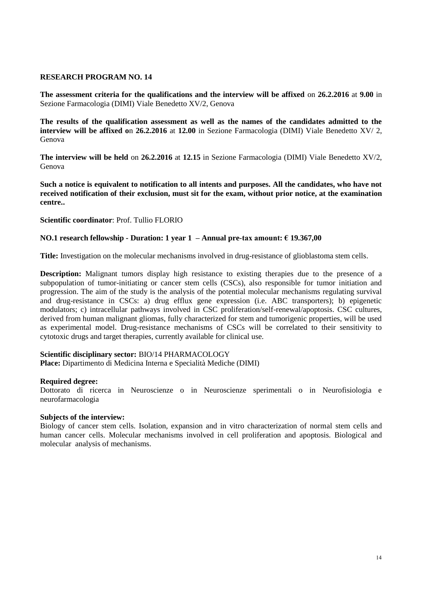**The assessment criteria for the qualifications and the interview will be affixed** on **26.2.2016** at **9.00** in Sezione Farmacologia (DIMI) Viale Benedetto XV/2, Genova

**The results of the qualification assessment as well as the names of the candidates admitted to the interview will be affixed o**n **26.2.2016** at **12.00** in Sezione Farmacologia (DIMI) Viale Benedetto XV/ 2, Genova

**The interview will be held** on **26.2.2016** at **12.15** in Sezione Farmacologia (DIMI) Viale Benedetto XV/2, Genova

**Such a notice is equivalent to notification to all intents and purposes. All the candidates, who have not received notification of their exclusion, must sit for the exam, without prior notice, at the examination centre..**

**Scientific coordinator**: Prof. Tullio FLORIO

## **NO.1 research fellowship - Duration: 1 year 1 – Annual pre-tax amount: € 19.367,00**

**Title:** Investigation on the molecular mechanisms involved in drug-resistance of glioblastoma stem cells.

**Description:** Malignant tumors display high resistance to existing therapies due to the presence of a subpopulation of tumor-initiating or cancer stem cells (CSCs), also responsible for tumor initiation and progression. The aim of the study is the analysis of the potential molecular mechanisms regulating survival and drug-resistance in CSCs: a) drug efflux gene expression (i.e. ABC transporters); b) epigenetic modulators; c) intracellular pathways involved in CSC proliferation/self-renewal/apoptosis. CSC cultures, derived from human malignant gliomas, fully characterized for stem and tumorigenic properties, will be used as experimental model. Drug-resistance mechanisms of CSCs will be correlated to their sensitivity to cytotoxic drugs and target therapies, currently available for clinical use.

#### **Scientific disciplinary sector:** BIO/14 PHARMACOLOGY

**Place:** Dipartimento di Medicina Interna e Specialità Mediche (DIMI)

#### **Required degree:**

Dottorato di ricerca in Neuroscienze o in Neuroscienze sperimentali o in Neurofisiologia e neurofarmacologia

#### **Subjects of the interview:**

Biology of cancer stem cells. Isolation, expansion and in vitro characterization of normal stem cells and human cancer cells. Molecular mechanisms involved in cell proliferation and apoptosis. Biological and molecular analysis of mechanisms.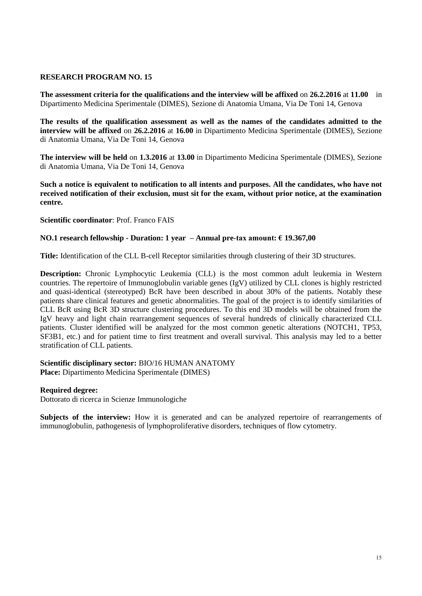**The assessment criteria for the qualifications and the interview will be affixed** on **26.2.2016** at **11.00** in Dipartimento Medicina Sperimentale (DIMES), Sezione di Anatomia Umana, Via De Toni 14, Genova

**The results of the qualification assessment as well as the names of the candidates admitted to the interview will be affixed** on **26.2.2016** at **16.00** in Dipartimento Medicina Sperimentale (DIMES), Sezione di Anatomia Umana, Via De Toni 14, Genova

**The interview will be held** on **1.3.2016** at **13.00** in Dipartimento Medicina Sperimentale (DIMES), Sezione di Anatomia Umana, Via De Toni 14, Genova

**Such a notice is equivalent to notification to all intents and purposes. All the candidates, who have not received notification of their exclusion, must sit for the exam, without prior notice, at the examination centre.**

**Scientific coordinator**: Prof. Franco FAIS

# **NO.1 research fellowship - Duration: 1 year – Annual pre-tax amount: € 19.367,00**

**Title:** Identification of the CLL B-cell Receptor similarities through clustering of their 3D structures.

**Description:** Chronic Lymphocytic Leukemia (CLL) is the most common adult leukemia in Western countries. The repertoire of Immunoglobulin variable genes (IgV) utilized by CLL clones is highly restricted and quasi-identical (stereotyped) BcR have been described in about 30% of the patients. Notably these patients share clinical features and genetic abnormalities. The goal of the project is to identify similarities of CLL BcR using BcR 3D structure clustering procedures. To this end 3D models will be obtained from the IgV heavy and light chain rearrangement sequences of several hundreds of clinically characterized CLL patients. Cluster identified will be analyzed for the most common genetic alterations (NOTCH1, TP53, SF3B1, etc.) and for patient time to first treatment and overall survival. This analysis may led to a better stratification of CLL patients.

## **Scientific disciplinary sector:** BIO/16 HUMAN ANATOMY Place: Dipartimento Medicina Sperimentale (DIMES)

## **Required degree:**

Dottorato di ricerca in Scienze Immunologiche

**Subjects of the interview:** How it is generated and can be analyzed repertoire of rearrangements of immunoglobulin, pathogenesis of lymphoproliferative disorders, techniques of flow cytometry.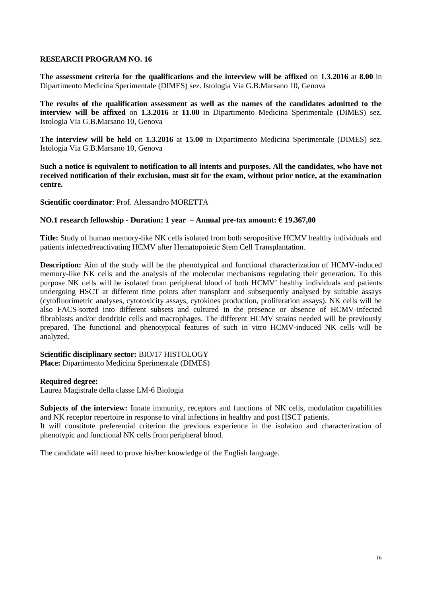**The assessment criteria for the qualifications and the interview will be affixed** on **1.3.2016** at **8.00** in Dipartimento Medicina Sperimentale (DIMES) sez. Istologia Via G.B.Marsano 10, Genova

**The results of the qualification assessment as well as the names of the candidates admitted to the interview will be affixed** on **1.3.2016** at **11.00** in Dipartimento Medicina Sperimentale (DIMES) sez. Istologia Via G.B.Marsano 10, Genova

**The interview will be held** on **1.3.2016** at **15.00** in Dipartimento Medicina Sperimentale (DIMES) sez. Istologia Via G.B.Marsano 10, Genova

**Such a notice is equivalent to notification to all intents and purposes. All the candidates, who have not received notification of their exclusion, must sit for the exam, without prior notice, at the examination centre.**

**Scientific coordinator**: Prof. Alessandro MORETTA

#### **NO.1 research fellowship - Duration: 1 year – Annual pre-tax amount: € 19.367,00**

**Title:** Study of human memory-like NK cells isolated from both seropositive HCMV healthy individuals and patients infected/reactivating HCMV after Hematopoietic Stem Cell Transplantation.

**Description:** Aim of the study will be the phenotypical and functional characterization of HCMV-induced memory-like NK cells and the analysis of the molecular mechanisms regulating their generation. To this purpose NK cells will be isolated from peripheral blood of both HCMV<sup>+</sup> healthy individuals and patients undergoing HSCT at different time points after transplant and subsequently analysed by suitable assays (cytofluorimetric analyses, cytotoxicity assays, cytokines production, proliferation assays). NK cells will be also FACS-sorted into different subsets and cultured in the presence or absence of HCMV-infected fibroblasts and/or dendritic cells and macrophages. The different HCMV strains needed will be previously prepared. The functional and phenotypical features of such in vitro HCMV-induced NK cells will be analyzed.

**Scientific disciplinary sector:** BIO/17 HISTOLOGY **Place:** Dipartimento Medicina Sperimentale (DIMES)

#### **Required degree:**

Laurea Magistrale della classe LM-6 Biologia

**Subjects of the interview:** Innate immunity, receptors and functions of NK cells, modulation capabilities and NK receptor repertoire in response to viral infections in healthy and post HSCT patients.

It will constitute preferential criterion the previous experience in the isolation and characterization of phenotypic and functional NK cells from peripheral blood.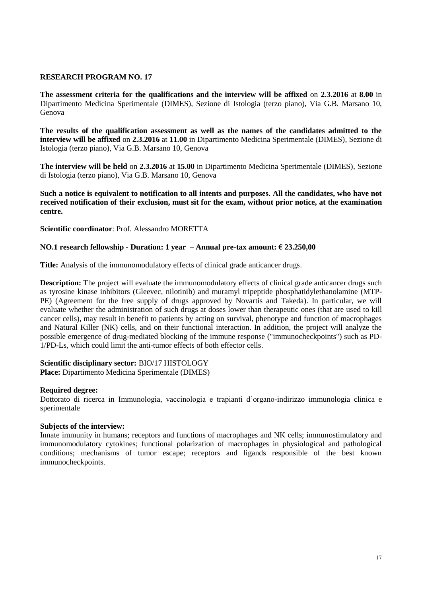**The assessment criteria for the qualifications and the interview will be affixed** on **2.3.2016** at **8.00** in Dipartimento Medicina Sperimentale (DIMES), Sezione di Istologia (terzo piano), Via G.B. Marsano 10, Genova

**The results of the qualification assessment as well as the names of the candidates admitted to the interview will be affixed** on **2.3.2016** at **11.00** in Dipartimento Medicina Sperimentale (DIMES), Sezione di Istologia (terzo piano), Via G.B. Marsano 10, Genova

**The interview will be held** on **2.3.2016** at **15.00** in Dipartimento Medicina Sperimentale (DIMES), Sezione di Istologia (terzo piano), Via G.B. Marsano 10, Genova

**Such a notice is equivalent to notification to all intents and purposes. All the candidates, who have not received notification of their exclusion, must sit for the exam, without prior notice, at the examination centre.**

**Scientific coordinator**: Prof. Alessandro MORETTA

# **NO.1 research fellowship - Duration: 1 year – Annual pre-tax amount: € 23.250,00**

**Title:** Analysis of the immunomodulatory effects of clinical grade anticancer drugs.

**Description:** The project will evaluate the immunomodulatory effects of clinical grade anticancer drugs such as tyrosine kinase inhibitors (Gleevec, nilotinib) and muramyl tripeptide phosphatidylethanolamine (MTP-PE) (Agreement for the free supply of drugs approved by Novartis and Takeda). In particular, we will evaluate whether the administration of such drugs at doses lower than therapeutic ones (that are used to kill cancer cells), may result in benefit to patients by acting on survival, phenotype and function of macrophages and Natural Killer (NK) cells, and on their functional interaction. In addition, the project will analyze the possible emergence of drug-mediated blocking of the immune response ("immunocheckpoints") such as PD-1/PD-Ls, which could limit the anti-tumor effects of both effector cells.

## **Scientific disciplinary sector:** BIO/17 HISTOLOGY

**Place:** Dipartimento Medicina Sperimentale (DIMES)

## **Required degree:**

Dottorato di ricerca in Immunologia, vaccinologia e trapianti d'organo-indirizzo immunologia clinica e sperimentale

## **Subjects of the interview:**

Innate immunity in humans; receptors and functions of macrophages and NK cells; immunostimulatory and immunomodulatory cytokines; functional polarization of macrophages in physiological and pathological conditions; mechanisms of tumor escape; receptors and ligands responsible of the best known immunocheckpoints.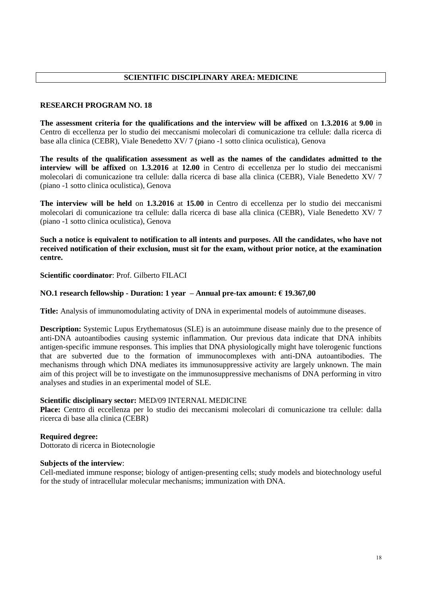**The assessment criteria for the qualifications and the interview will be affixed** on **1.3.2016** at **9.00** in Centro di eccellenza per lo studio dei meccanismi molecolari di comunicazione tra cellule: dalla ricerca di base alla clinica (CEBR), Viale Benedetto XV/ 7 (piano -1 sotto clinica oculistica), Genova

**The results of the qualification assessment as well as the names of the candidates admitted to the interview will be affixed** on **1.3.2016** at **12.00** in Centro di eccellenza per lo studio dei meccanismi molecolari di comunicazione tra cellule: dalla ricerca di base alla clinica (CEBR), Viale Benedetto XV/ 7 (piano -1 sotto clinica oculistica), Genova

**The interview will be held** on **1.3.2016** at **15.00** in Centro di eccellenza per lo studio dei meccanismi molecolari di comunicazione tra cellule: dalla ricerca di base alla clinica (CEBR), Viale Benedetto XV/ 7 (piano -1 sotto clinica oculistica), Genova

**Such a notice is equivalent to notification to all intents and purposes. All the candidates, who have not received notification of their exclusion, must sit for the exam, without prior notice, at the examination centre.**

**Scientific coordinator**: Prof. Gilberto FILACI

## **NO.1 research fellowship - Duration: 1 year – Annual pre-tax amount: € 19.367,00**

**Title:** Analysis of immunomodulating activity of DNA in experimental models of autoimmune diseases.

**Description:** Systemic Lupus Erythematosus (SLE) is an autoimmune disease mainly due to the presence of anti-DNA autoantibodies causing systemic inflammation. Our previous data indicate that DNA inhibits antigen-specific immune responses. This implies that DNA physiologically might have tolerogenic functions that are subverted due to the formation of immunocomplexes with anti-DNA autoantibodies. The mechanisms through which DNA mediates its immunosuppressive activity are largely unknown. The main aim of this project will be to investigate on the immunosuppressive mechanisms of DNA performing in vitro analyses and studies in an experimental model of SLE.

## **Scientific disciplinary sector:** MED/09 INTERNAL MEDICINE

**Place:** Centro di eccellenza per lo studio dei meccanismi molecolari di comunicazione tra cellule: dalla ricerca di base alla clinica (CEBR)

## **Required degree:**

Dottorato di ricerca in Biotecnologie

## **Subjects of the interview**:

Cell-mediated immune response; biology of antigen-presenting cells; study models and biotechnology useful for the study of intracellular molecular mechanisms; immunization with DNA.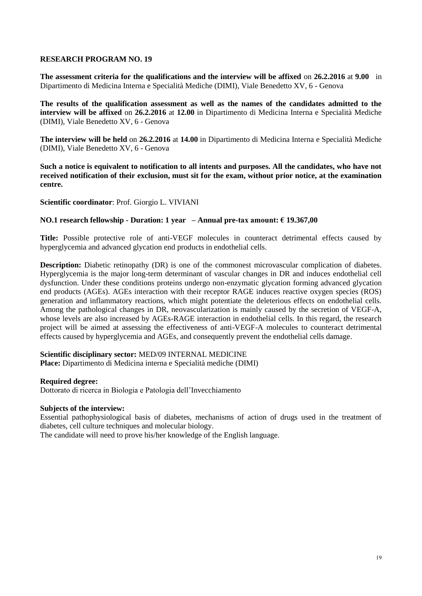**The assessment criteria for the qualifications and the interview will be affixed** on **26.2.2016** at **9.00** in Dipartimento di Medicina Interna e Specialità Mediche (DIMI), Viale Benedetto XV, 6 - Genova

**The results of the qualification assessment as well as the names of the candidates admitted to the interview will be affixed** on **26.2.2016** at **12.00** in Dipartimento di Medicina Interna e Specialità Mediche (DIMI), Viale Benedetto XV, 6 - Genova

**The interview will be held** on **26.2.2016** at **14.00** in Dipartimento di Medicina Interna e Specialità Mediche (DIMI), Viale Benedetto XV, 6 - Genova

**Such a notice is equivalent to notification to all intents and purposes. All the candidates, who have not received notification of their exclusion, must sit for the exam, without prior notice, at the examination centre.**

**Scientific coordinator**: Prof. Giorgio L. VIVIANI

#### **NO.1 research fellowship - Duration: 1 year – Annual pre-tax amount: € 19.367,00**

**Title:** Possible protective role of anti-VEGF molecules in counteract detrimental effects caused by hyperglycemia and advanced glycation end products in endothelial cells.

**Description:** Diabetic retinopathy (DR) is one of the commonest microvascular complication of diabetes. Hyperglycemia is the major long-term determinant of vascular changes in DR and induces endothelial cell dysfunction. Under these conditions proteins undergo non-enzymatic glycation forming advanced glycation end products (AGEs). AGEs interaction with their receptor RAGE induces reactive oxygen species (ROS) generation and inflammatory reactions, which might potentiate the deleterious effects on endothelial cells. Among the pathological changes in DR, neovascularization is mainly caused by the secretion of VEGF-A, whose levels are also increased by AGEs-RAGE interaction in endothelial cells. In this regard, the research project will be aimed at assessing the effectiveness of anti-VEGF-A molecules to counteract detrimental effects caused by hyperglycemia and AGEs, and consequently prevent the endothelial cells damage.

#### **Scientific disciplinary sector:** MED/09 INTERNAL MEDICINE

**Place:** Dipartimento di Medicina interna e Specialità mediche (DIMI)

## **Required degree:**

Dottorato di ricerca in Biologia e Patologia dell'Invecchiamento

## **Subjects of the interview:**

Essential pathophysiological basis of diabetes, mechanisms of action of drugs used in the treatment of diabetes, cell culture techniques and molecular biology.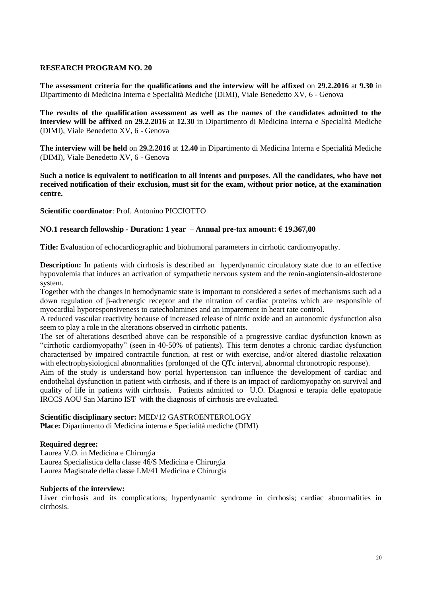**The assessment criteria for the qualifications and the interview will be affixed** on **29.2.2016** at **9.30** in Dipartimento di Medicina Interna e Specialità Mediche (DIMI), Viale Benedetto XV, 6 - Genova

**The results of the qualification assessment as well as the names of the candidates admitted to the interview will be affixed** on **29.2.2016** at **12.30** in Dipartimento di Medicina Interna e Specialità Mediche (DIMI), Viale Benedetto XV, 6 - Genova

**The interview will be held** on **29.2.2016** at **12.40** in Dipartimento di Medicina Interna e Specialità Mediche (DIMI), Viale Benedetto XV, 6 - Genova

**Such a notice is equivalent to notification to all intents and purposes. All the candidates, who have not received notification of their exclusion, must sit for the exam, without prior notice, at the examination centre.**

**Scientific coordinator**: Prof. Antonino PICCIOTTO

# **NO.1 research fellowship - Duration: 1 year – Annual pre-tax amount: € 19.367,00**

**Title:** Evaluation of echocardiographic and biohumoral parameters in cirrhotic cardiomyopathy.

**Description:** In patients with cirrhosis is described an hyperdynamic circulatory state due to an effective hypovolemia that induces an activation of sympathetic nervous system and the renin-angiotensin-aldosterone system.

Together with the changes in hemodynamic state is important to considered a series of mechanisms such ad a down regulation of β-adrenergic receptor and the nitration of cardiac proteins which are responsible of myocardial hyporesponsiveness to catecholamines and an imparement in heart rate control.

A reduced vascular reactivity because of increased release of nitric oxide and an autonomic dysfunction also seem to play a role in the alterations observed in cirrhotic patients.

The set of alterations described above can be responsible of a progressive cardiac dysfunction known as "cirrhotic cardiomyopathy" (seen in 40-50% of patients). This term denotes a chronic cardiac dysfunction characterised by impaired contractile function, at rest or with exercise, and/or altered diastolic relaxation with electrophysiological abnormalities (prolonged of the QTc interval, abnormal chronotropic response).

Aim of the study is understand how portal hypertension can influence the development of cardiac and endothelial dysfunction in patient with cirrhosis, and if there is an impact of cardiomyopathy on survival and quality of life in patients with cirrhosis. Patients admitted to U.O. Diagnosi e terapia delle epatopatie IRCCS AOU San Martino IST with the diagnosis of cirrhosis are evaluated.

## **Scientific disciplinary sector:** MED/12 GASTROENTEROLOGY

**Place:** Dipartimento di Medicina interna e Specialità mediche (DIMI)

## **Required degree:**

Laurea V.O. in Medicina e Chirurgia Laurea Specialistica della classe 46/S Medicina e Chirurgia Laurea Magistrale della classe LM/41 Medicina e Chirurgia

## **Subjects of the interview:**

Liver cirrhosis and its complications; hyperdynamic syndrome in cirrhosis; cardiac abnormalities in cirrhosis.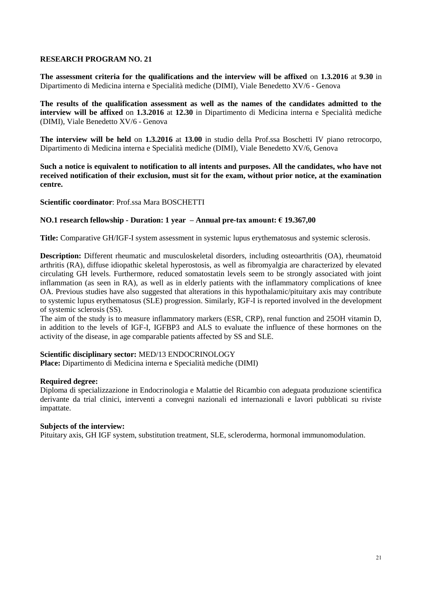**The assessment criteria for the qualifications and the interview will be affixed** on **1.3.2016** at **9.30** in Dipartimento di Medicina interna e Specialità mediche (DIMI), Viale Benedetto XV/6 - Genova

**The results of the qualification assessment as well as the names of the candidates admitted to the interview will be affixed** on **1.3.2016** at **12.30** in Dipartimento di Medicina interna e Specialità mediche (DIMI), Viale Benedetto XV/6 - Genova

**The interview will be held** on **1.3.2016** at **13.00** in studio della Prof.ssa Boschetti IV piano retrocorpo, Dipartimento di Medicina interna e Specialità mediche (DIMI), Viale Benedetto XV/6, Genova

**Such a notice is equivalent to notification to all intents and purposes. All the candidates, who have not received notification of their exclusion, must sit for the exam, without prior notice, at the examination centre.**

## **Scientific coordinator**: Prof.ssa Mara BOSCHETTI

#### **NO.1 research fellowship - Duration: 1 year – Annual pre-tax amount: € 19.367,00**

**Title:** Comparative GH/IGF-I system assessment in systemic lupus erythematosus and systemic sclerosis.

**Description:** Different rheumatic and musculoskeletal disorders, including osteoarthritis (OA), rheumatoid arthritis (RA), diffuse idiopathic skeletal hyperostosis, as well as fibromyalgia are characterized by elevated circulating GH levels. Furthermore, reduced somatostatin levels seem to be strongly associated with joint inflammation (as seen in RA), as well as in elderly patients with the inflammatory complications of knee OA. Previous studies have also suggested that alterations in this hypothalamic/pituitary axis may contribute to systemic lupus erythematosus (SLE) progression. Similarly, IGF-I is reported involved in the development of systemic sclerosis (SS).

The aim of the study is to measure inflammatory markers (ESR, CRP), renal function and 25OH vitamin D, in addition to the levels of IGF-I, IGFBP3 and ALS to evaluate the influence of these hormones on the activity of the disease, in age comparable patients affected by SS and SLE.

## **Scientific disciplinary sector:** MED/13 ENDOCRINOLOGY

**Place:** Dipartimento di Medicina interna e Specialità mediche (DIMI)

#### **Required degree:**

Diploma di specializzazione in Endocrinologia e Malattie del Ricambio con adeguata produzione scientifica derivante da trial clinici, interventi a convegni nazionali ed internazionali e lavori pubblicati su riviste impattate.

## **Subjects of the interview:**

Pituitary axis, GH IGF system, substitution treatment, SLE, scleroderma, hormonal immunomodulation.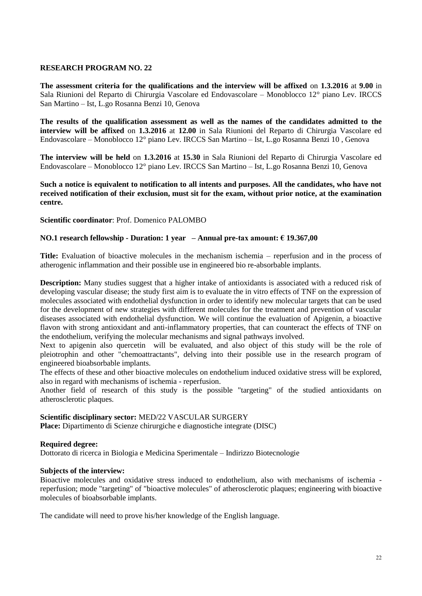**The assessment criteria for the qualifications and the interview will be affixed** on **1.3.2016** at **9.00** in Sala Riunioni del Reparto di Chirurgia Vascolare ed Endovascolare – Monoblocco 12° piano Lev. IRCCS San Martino – Ist, L.go Rosanna Benzi 10, Genova

**The results of the qualification assessment as well as the names of the candidates admitted to the interview will be affixed** on **1.3.2016** at **12.00** in Sala Riunioni del Reparto di Chirurgia Vascolare ed Endovascolare – Monoblocco 12° piano Lev. IRCCS San Martino – Ist, L.go Rosanna Benzi 10 , Genova

**The interview will be held** on **1.3.2016** at **15.30** in Sala Riunioni del Reparto di Chirurgia Vascolare ed Endovascolare – Monoblocco 12° piano Lev. IRCCS San Martino – Ist, L.go Rosanna Benzi 10, Genova

**Such a notice is equivalent to notification to all intents and purposes. All the candidates, who have not received notification of their exclusion, must sit for the exam, without prior notice, at the examination centre.**

## **Scientific coordinator**: Prof. Domenico PALOMBO

# **NO.1 research fellowship - Duration: 1 year – Annual pre-tax amount: € 19.367,00**

**Title:** Evaluation of bioactive molecules in the mechanism ischemia – reperfusion and in the process of atherogenic inflammation and their possible use in engineered bio re-absorbable implants.

**Description:** Many studies suggest that a higher intake of antioxidants is associated with a reduced risk of developing vascular disease; the study first aim is to evaluate the in vitro effects of TNF on the expression of molecules associated with endothelial dysfunction in order to identify new molecular targets that can be used for the development of new strategies with different molecules for the treatment and prevention of vascular diseases associated with endothelial dysfunction. We will continue the evaluation of Apigenin, a bioactive flavon with strong antioxidant and anti-inflammatory properties, that can counteract the effects of TNF on the endothelium, verifying the molecular mechanisms and signal pathways involved.

Next to apigenin also quercetin will be evaluated, and also object of this study will be the role of pleiotrophin and other "chemoattractants", delving into their possible use in the research program of engineered bioabsorbable implants.

The effects of these and other bioactive molecules on endothelium induced oxidative stress will be explored, also in regard with mechanisms of ischemia - reperfusion.

Another field of research of this study is the possible "targeting" of the studied antioxidants on atherosclerotic plaques.

## **Scientific disciplinary sector:** MED/22 VASCULAR SURGERY

**Place:** Dipartimento di Scienze chirurgiche e diagnostiche integrate (DISC)

## **Required degree:**

Dottorato di ricerca in Biologia e Medicina Sperimentale – Indirizzo Biotecnologie

## **Subjects of the interview:**

Bioactive molecules and oxidative stress induced to endothelium, also with mechanisms of ischemia reperfusion; mode "targeting" of "bioactive molecules" of atherosclerotic plaques; engineering with bioactive molecules of bioabsorbable implants.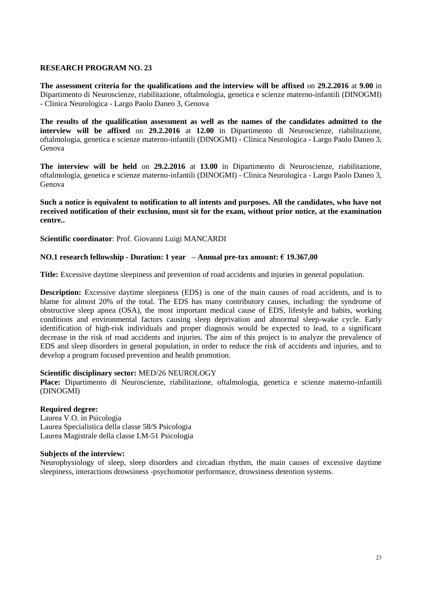**The assessment criteria for the qualifications and the interview will be affixed** on **29.2.2016** at **9.00** in Dipartimento di Neuroscienze, riabilitazione, oftalmologia, genetica e scienze materno-infantili (DINOGMI) - Clinica Neurologica - Largo Paolo Daneo 3, Genova

**The results of the qualification assessment as well as the names of the candidates admitted to the interview will be affixed** on **29.2.2016** at **12.00** in Dipartimento di Neuroscienze, riabilitazione, oftalmologia, genetica e scienze materno-infantili (DINOGMI) - Clinica Neurologica - Largo Paolo Daneo 3, Genova

**The interview will be held** on **29.2.2016** at **13.00** in Dipartimento di Neuroscienze, riabilitazione, oftalmologia, genetica e scienze materno-infantili (DINOGMI) - Clinica Neurologica - Largo Paolo Daneo 3, Genova

**Such a notice is equivalent to notification to all intents and purposes. All the candidates, who have not received notification of their exclusion, must sit for the exam, without prior notice, at the examination centre..**

**Scientific coordinator**: Prof. Giovanni Luigi MANCARDI

## **NO.1 research fellowship - Duration: 1 year – Annual pre-tax amount: € 19.367,00**

**Title:** Excessive daytime sleepiness and prevention of road accidents and injuries in general population.

**Description:** Excessive daytime sleepiness (EDS) is one of the main causes of road accidents, and is to blame for almost 20% of the total. The EDS has many contributory causes, including: the syndrome of obstructive sleep apnea (OSA), the most important medical cause of EDS, lifestyle and habits, working conditions and environmental factors causing sleep deprivation and abnormal sleep-wake cycle. Early identification of high-risk individuals and proper diagnosis would be expected to lead, to a significant decrease in the risk of road accidents and injuries. The aim of this project is to analyze the prevalence of EDS and sleep disorders in general population, in order to reduce the risk of accidents and injuries, and to develop a program focused prevention and health promotion.

## **Scientific disciplinary sector:** MED/26 NEUROLOGY

**Place:** Dipartimento di Neuroscienze, riabilitazione, oftalmologia, genetica e scienze materno-infantili (DINOGMI)

## **Required degree:**

Laurea V.O. in Psicologia Laurea Specialistica della classe 58/S Psicologia Laurea Magistrale della classe LM-51 Psicologia

## **Subjects of the interview:**

Neurophysiology of sleep, sleep disorders and circadian rhythm, the main causes of excessive daytime sleepiness, interactions drowsiness -psychomotor performance, drowsiness detention systems.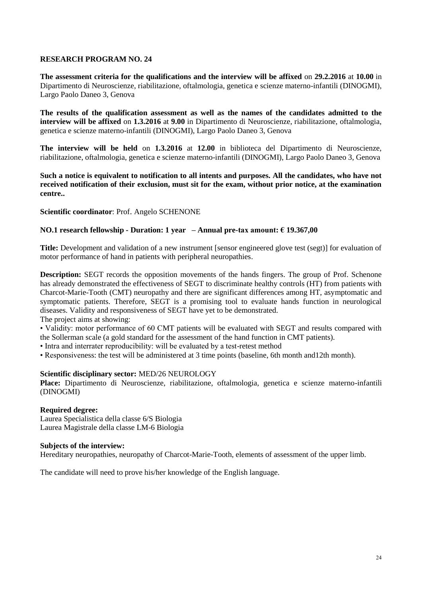**The assessment criteria for the qualifications and the interview will be affixed** on **29.2.2016** at **10.00** in Dipartimento di Neuroscienze, riabilitazione, oftalmologia, genetica e scienze materno-infantili (DINOGMI), Largo Paolo Daneo 3, Genova

**The results of the qualification assessment as well as the names of the candidates admitted to the interview will be affixed** on **1.3.2016** at **9.00** in Dipartimento di Neuroscienze, riabilitazione, oftalmologia, genetica e scienze materno-infantili (DINOGMI), Largo Paolo Daneo 3, Genova

**The interview will be held** on **1.3.2016** at **12.00** in biblioteca del Dipartimento di Neuroscienze, riabilitazione, oftalmologia, genetica e scienze materno-infantili (DINOGMI), Largo Paolo Daneo 3, Genova

**Such a notice is equivalent to notification to all intents and purposes. All the candidates, who have not received notification of their exclusion, must sit for the exam, without prior notice, at the examination centre..**

## **Scientific coordinator**: Prof. Angelo SCHENONE

# **NO.1 research fellowship - Duration: 1 year – Annual pre-tax amount: € 19.367,00**

**Title:** Development and validation of a new instrument [sensor engineered glove test (segt)] for evaluation of motor performance of hand in patients with peripheral neuropathies.

**Description:** SEGT records the opposition movements of the hands fingers. The group of Prof. Schenone has already demonstrated the effectiveness of SEGT to discriminate healthy controls (HT) from patients with Charcot-Marie-Tooth (CMT) neuropathy and there are significant differences among HT, asymptomatic and symptomatic patients. Therefore, SEGT is a promising tool to evaluate hands function in neurological diseases. Validity and responsiveness of SEGT have yet to be demonstrated.

The project aims at showing:

• Validity: motor performance of 60 CMT patients will be evaluated with SEGT and results compared with the Sollerman scale (a gold standard for the assessment of the hand function in CMT patients).

- Intra and interrater reproducibility: will be evaluated by a test-retest method
- Responsiveness: the test will be administered at 3 time points (baseline, 6th month and12th month).

## **Scientific disciplinary sector:** MED/26 NEUROLOGY

**Place:** Dipartimento di Neuroscienze, riabilitazione, oftalmologia, genetica e scienze materno-infantili (DINOGMI)

#### **Required degree:**

Laurea Specialistica della classe 6/S Biologia Laurea Magistrale della classe LM-6 Biologia

#### **Subjects of the interview:**

Hereditary neuropathies, neuropathy of Charcot-Marie-Tooth, elements of assessment of the upper limb.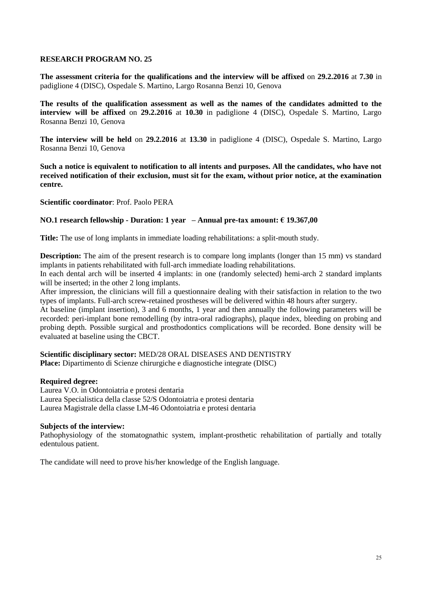**The assessment criteria for the qualifications and the interview will be affixed** on **29.2.2016** at **7.30** in padiglione 4 (DISC), Ospedale S. Martino, Largo Rosanna Benzi 10, Genova

**The results of the qualification assessment as well as the names of the candidates admitted to the interview will be affixed** on **29.2.2016** at **10.30** in padiglione 4 (DISC), Ospedale S. Martino, Largo Rosanna Benzi 10, Genova

**The interview will be held** on **29.2.2016** at **13.30** in padiglione 4 (DISC), Ospedale S. Martino, Largo Rosanna Benzi 10, Genova

**Such a notice is equivalent to notification to all intents and purposes. All the candidates, who have not received notification of their exclusion, must sit for the exam, without prior notice, at the examination centre.**

**Scientific coordinator**: Prof. Paolo PERA

## **NO.1 research fellowship - Duration: 1 year – Annual pre-tax amount: € 19.367,00**

**Title:** The use of long implants in immediate loading rehabilitations: a split-mouth study.

**Description:** The aim of the present research is to compare long implants (longer than 15 mm) vs standard implants in patients rehabilitated with full-arch immediate loading rehabilitations.

In each dental arch will be inserted 4 implants: in one (randomly selected) hemi-arch 2 standard implants will be inserted; in the other 2 long implants.

After impression, the clinicians will fill a questionnaire dealing with their satisfaction in relation to the two types of implants. Full-arch screw-retained prostheses will be delivered within 48 hours after surgery.

At baseline (implant insertion), 3 and 6 months, 1 year and then annually the following parameters will be recorded: peri-implant bone remodelling (by intra-oral radiographs), plaque index, bleeding on probing and probing depth. Possible surgical and prosthodontics complications will be recorded. Bone density will be evaluated at baseline using the CBCT.

**Scientific disciplinary sector:** MED/28 ORAL DISEASES AND DENTISTRY **Place:** Dipartimento di Scienze chirurgiche e diagnostiche integrate (DISC)

## **Required degree:**

Laurea V.O. in Odontoiatria e protesi dentaria Laurea Specialistica della classe 52/S Odontoiatria e protesi dentaria Laurea Magistrale della classe LM-46 Odontoiatria e protesi dentaria

## **Subjects of the interview:**

Pathophysiology of the stomatognathic system, implant-prosthetic rehabilitation of partially and totally edentulous patient.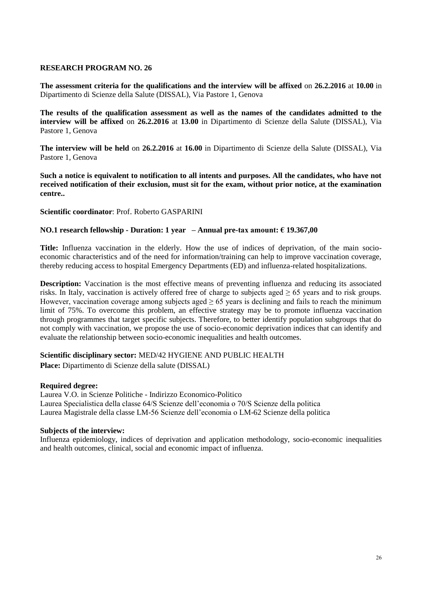**The assessment criteria for the qualifications and the interview will be affixed** on **26.2.2016** at **10.00** in Dipartimento di Scienze della Salute (DISSAL), Via Pastore 1, Genova

**The results of the qualification assessment as well as the names of the candidates admitted to the interview will be affixed** on **26.2.2016** at **13.00** in Dipartimento di Scienze della Salute (DISSAL), Via Pastore 1, Genova

**The interview will be held** on **26.2.2016** at **16.00** in Dipartimento di Scienze della Salute (DISSAL), Via Pastore 1, Genova

**Such a notice is equivalent to notification to all intents and purposes. All the candidates, who have not received notification of their exclusion, must sit for the exam, without prior notice, at the examination centre..**

**Scientific coordinator**: Prof. Roberto GASPARINI

## **NO.1 research fellowship - Duration: 1 year – Annual pre-tax amount: € 19.367,00**

**Title:** Influenza vaccination in the elderly. How the use of indices of deprivation, of the main socioeconomic characteristics and of the need for information/training can help to improve vaccination coverage, thereby reducing access to hospital Emergency Departments (ED) and influenza-related hospitalizations.

**Description:** Vaccination is the most effective means of preventing influenza and reducing its associated risks. In Italy, vaccination is actively offered free of charge to subjects aged  $\geq 65$  years and to risk groups. However, vaccination coverage among subjects aged  $\geq 65$  years is declining and fails to reach the minimum limit of 75%. To overcome this problem, an effective strategy may be to promote influenza vaccination through programmes that target specific subjects. Therefore, to better identify population subgroups that do not comply with vaccination, we propose the use of socio-economic deprivation indices that can identify and evaluate the relationship between socio-economic inequalities and health outcomes.

## **Scientific disciplinary sector:** MED/42 HYGIENE AND PUBLIC HEALTH

**Place:** Dipartimento di Scienze della salute (DISSAL)

#### **Required degree:**

Laurea V.O. in Scienze Politiche - Indirizzo Economico-Politico Laurea Specialistica della classe 64/S Scienze dell'economia o 70/S Scienze della politica Laurea Magistrale della classe LM-56 Scienze dell'economia o LM-62 Scienze della politica

#### **Subjects of the interview:**

Influenza epidemiology, indices of deprivation and application methodology, socio-economic inequalities and health outcomes, clinical, social and economic impact of influenza.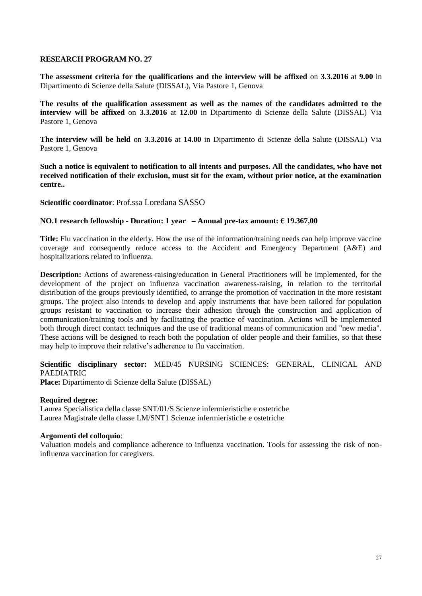**The assessment criteria for the qualifications and the interview will be affixed** on **3.3.2016** at **9.00** in Dipartimento di Scienze della Salute (DISSAL), Via Pastore 1, Genova

**The results of the qualification assessment as well as the names of the candidates admitted to the interview will be affixed** on **3.3.2016** at **12.00** in Dipartimento di Scienze della Salute (DISSAL) Via Pastore 1, Genova

**The interview will be held** on **3.3.2016** at **14.00** in Dipartimento di Scienze della Salute (DISSAL) Via Pastore 1, Genova

**Such a notice is equivalent to notification to all intents and purposes. All the candidates, who have not received notification of their exclusion, must sit for the exam, without prior notice, at the examination centre..**

**Scientific coordinator**: Prof.ssa Loredana SASSO

#### **NO.1 research fellowship - Duration: 1 year – Annual pre-tax amount: € 19.367,00**

**Title:** Flu vaccination in the elderly. How the use of the information/training needs can help improve vaccine coverage and consequently reduce access to the Accident and Emergency Department (A&E) and hospitalizations related to influenza.

**Description:** Actions of awareness-raising/education in General Practitioners will be implemented, for the development of the project on influenza vaccination awareness-raising, in relation to the territorial distribution of the groups previously identified, to arrange the promotion of vaccination in the more resistant groups. The project also intends to develop and apply instruments that have been tailored for population groups resistant to vaccination to increase their adhesion through the construction and application of communication/training tools and by facilitating the practice of vaccination. Actions will be implemented both through direct contact techniques and the use of traditional means of communication and "new media". These actions will be designed to reach both the population of older people and their families, so that these may help to improve their relative's adherence to flu vaccination.

# **Scientific disciplinary sector:** MED/45 NURSING SCIENCES: GENERAL, CLINICAL AND PAEDIATRIC

**Place:** Dipartimento di Scienze della Salute (DISSAL)

#### **Required degree:**

Laurea Specialistica della classe SNT/01/S Scienze infermieristiche e ostetriche Laurea Magistrale della classe LM/SNT1 Scienze infermieristiche e ostetriche

## **Argomenti del colloquio**:

Valuation models and compliance adherence to influenza vaccination. Tools for assessing the risk of noninfluenza vaccination for caregivers.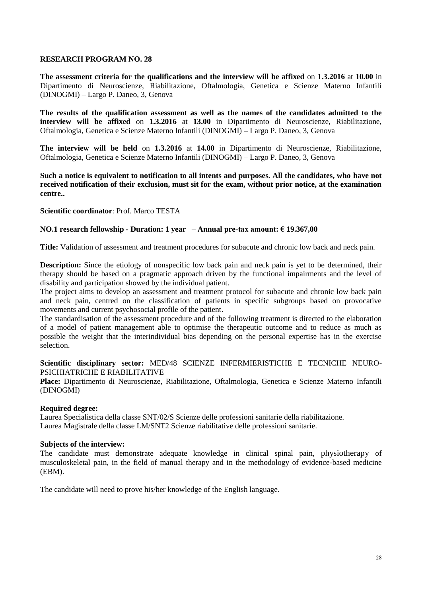**The assessment criteria for the qualifications and the interview will be affixed** on **1.3.2016** at **10.00** in Dipartimento di Neuroscienze, Riabilitazione, Oftalmologia, Genetica e Scienze Materno Infantili (DINOGMI) – Largo P. Daneo, 3, Genova

**The results of the qualification assessment as well as the names of the candidates admitted to the interview will be affixed** on **1.3.2016** at **13.00** in Dipartimento di Neuroscienze, Riabilitazione, Oftalmologia, Genetica e Scienze Materno Infantili (DINOGMI) – Largo P. Daneo, 3, Genova

**The interview will be held** on **1.3.2016** at **14.00** in Dipartimento di Neuroscienze, Riabilitazione, Oftalmologia, Genetica e Scienze Materno Infantili (DINOGMI) – Largo P. Daneo, 3, Genova

**Such a notice is equivalent to notification to all intents and purposes. All the candidates, who have not received notification of their exclusion, must sit for the exam, without prior notice, at the examination centre..**

**Scientific coordinator**: Prof. Marco TESTA

#### **NO.1 research fellowship - Duration: 1 year – Annual pre-tax amount: € 19.367,00**

**Title:** Validation of assessment and treatment procedures for subacute and chronic low back and neck pain.

**Description:** Since the etiology of nonspecific low back pain and neck pain is yet to be determined, their therapy should be based on a pragmatic approach driven by the functional impairments and the level of disability and participation showed by the individual patient.

The project aims to develop an assessment and treatment protocol for subacute and chronic low back pain and neck pain, centred on the classification of patients in specific subgroups based on provocative movements and current psychosocial profile of the patient.

The standardisation of the assessment procedure and of the following treatment is directed to the elaboration of a model of patient management able to optimise the therapeutic outcome and to reduce as much as possible the weight that the interindividual bias depending on the personal expertise has in the exercise selection.

**Scientific disciplinary sector:** MED/48 SCIENZE INFERMIERISTICHE E TECNICHE NEURO-PSICHIATRICHE E RIABILITATIVE

**Place:** Dipartimento di Neuroscienze, Riabilitazione, Oftalmologia, Genetica e Scienze Materno Infantili (DINOGMI)

## **Required degree:**

Laurea Specialistica della classe SNT/02/S Scienze delle professioni sanitarie della riabilitazione. Laurea Magistrale della classe LM/SNT2 Scienze riabilitative delle professioni sanitarie.

#### **Subjects of the interview:**

The candidate must demonstrate adequate knowledge in clinical spinal pain, physiotherapy of musculoskeletal pain, in the field of manual therapy and in the methodology of evidence-based medicine (EBM).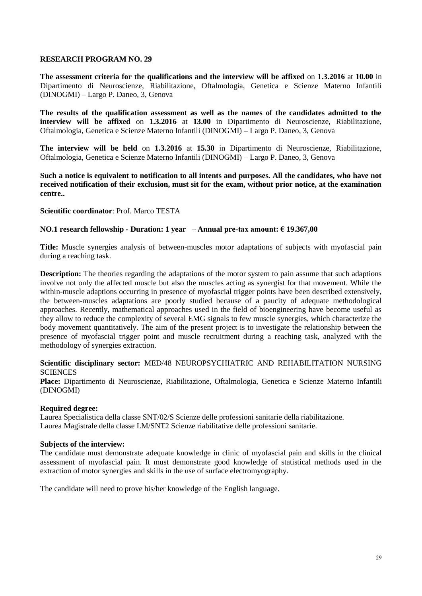**The assessment criteria for the qualifications and the interview will be affixed** on **1.3.2016** at **10.00** in Dipartimento di Neuroscienze, Riabilitazione, Oftalmologia, Genetica e Scienze Materno Infantili (DINOGMI) – Largo P. Daneo, 3, Genova

**The results of the qualification assessment as well as the names of the candidates admitted to the interview will be affixed** on **1.3.2016** at **13.00** in Dipartimento di Neuroscienze, Riabilitazione, Oftalmologia, Genetica e Scienze Materno Infantili (DINOGMI) – Largo P. Daneo, 3, Genova

**The interview will be held** on **1.3.2016** at **15.30** in Dipartimento di Neuroscienze, Riabilitazione, Oftalmologia, Genetica e Scienze Materno Infantili (DINOGMI) – Largo P. Daneo, 3, Genova

**Such a notice is equivalent to notification to all intents and purposes. All the candidates, who have not received notification of their exclusion, must sit for the exam, without prior notice, at the examination centre..**

## **Scientific coordinator**: Prof. Marco TESTA

## **NO.1 research fellowship - Duration: 1 year – Annual pre-tax amount: € 19.367,00**

**Title:** Muscle synergies analysis of between-muscles motor adaptations of subjects with myofascial pain during a reaching task.

**Description:** The theories regarding the adaptations of the motor system to pain assume that such adaptions involve not only the affected muscle but also the muscles acting as synergist for that movement. While the within-muscle adaptions occurring in presence of myofascial trigger points have been described extensively, the between-muscles adaptations are poorly studied because of a paucity of adequate methodological approaches. Recently, mathematical approaches used in the field of bioengineering have become useful as they allow to reduce the complexity of several EMG signals to few muscle synergies, which characterize the body movement quantitatively. The aim of the present project is to investigate the relationship between the presence of myofascial trigger point and muscle recruitment during a reaching task, analyzed with the methodology of synergies extraction.

## **Scientific disciplinary sector:** MED/48 NEUROPSYCHIATRIC AND REHABILITATION NURSING **SCIENCES**

**Place:** Dipartimento di Neuroscienze, Riabilitazione, Oftalmologia, Genetica e Scienze Materno Infantili (DINOGMI)

## **Required degree:**

Laurea Specialistica della classe SNT/02/S Scienze delle professioni sanitarie della riabilitazione. Laurea Magistrale della classe LM/SNT2 Scienze riabilitative delle professioni sanitarie.

#### **Subjects of the interview:**

The candidate must demonstrate adequate knowledge in clinic of myofascial pain and skills in the clinical assessment of myofascial pain. It must demonstrate good knowledge of statistical methods used in the extraction of motor synergies and skills in the use of surface electromyography.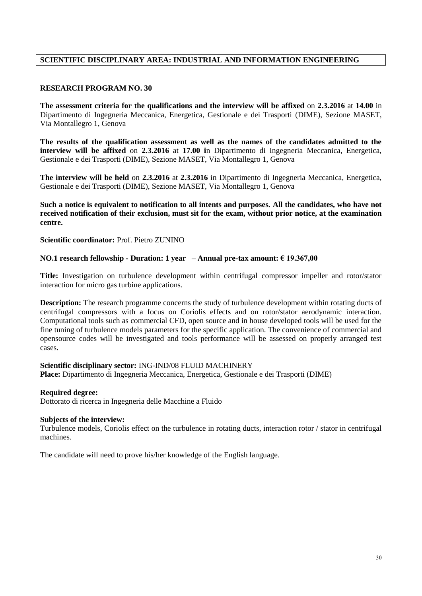# **SCIENTIFIC DISCIPLINARY AREA: INDUSTRIAL AND INFORMATION ENGINEERING**

#### **RESEARCH PROGRAM NO. 30**

**The assessment criteria for the qualifications and the interview will be affixed** on **2.3.2016** at **14.00** in Dipartimento di Ingegneria Meccanica, Energetica, Gestionale e dei Trasporti (DIME), Sezione MASET, Via Montallegro 1, Genova

**The results of the qualification assessment as well as the names of the candidates admitted to the interview will be affixed** on **2.3.2016** at **17.00 i**n Dipartimento di Ingegneria Meccanica, Energetica, Gestionale e dei Trasporti (DIME), Sezione MASET, Via Montallegro 1, Genova

**The interview will be held** on **2.3.2016** at **2.3.2016** in Dipartimento di Ingegneria Meccanica, Energetica, Gestionale e dei Trasporti (DIME), Sezione MASET, Via Montallegro 1, Genova

**Such a notice is equivalent to notification to all intents and purposes. All the candidates, who have not received notification of their exclusion, must sit for the exam, without prior notice, at the examination centre.**

**Scientific coordinator:** Prof. Pietro ZUNINO

#### **NO.1 research fellowship - Duration: 1 year – Annual pre-tax amount: € 19.367,00**

**Title:** Investigation on turbulence development within centrifugal compressor impeller and rotor/stator interaction for micro gas turbine applications.

**Description:** The research programme concerns the study of turbulence development within rotating ducts of centrifugal compressors with a focus on Coriolis effects and on rotor/stator aerodynamic interaction. Computational tools such as commercial CFD, open source and in house developed tools will be used for the fine tuning of turbulence models parameters for the specific application. The convenience of commercial and opensource codes will be investigated and tools performance will be assessed on properly arranged test cases.

#### **Scientific disciplinary sector:** ING-IND/08 FLUID MACHINERY

**Place:** Dipartimento di Ingegneria Meccanica, Energetica, Gestionale e dei Trasporti (DIME)

#### **Required degree:**

Dottorato di ricerca in Ingegneria delle Macchine a Fluido

#### **Subjects of the interview:**

Turbulence models, Coriolis effect on the turbulence in rotating ducts, interaction rotor / stator in centrifugal machines.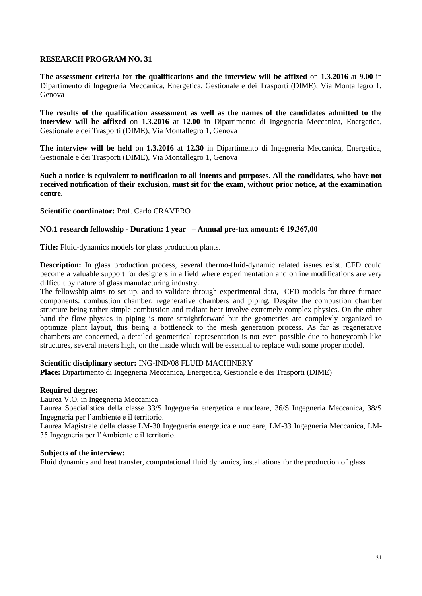**The assessment criteria for the qualifications and the interview will be affixed** on **1.3.2016** at **9.00** in Dipartimento di Ingegneria Meccanica, Energetica, Gestionale e dei Trasporti (DIME), Via Montallegro 1, Genova

**The results of the qualification assessment as well as the names of the candidates admitted to the interview will be affixed** on **1.3.2016** at **12.00** in Dipartimento di Ingegneria Meccanica, Energetica, Gestionale e dei Trasporti (DIME), Via Montallegro 1, Genova

**The interview will be held** on **1.3.2016** at **12.30** in Dipartimento di Ingegneria Meccanica, Energetica, Gestionale e dei Trasporti (DIME), Via Montallegro 1, Genova

**Such a notice is equivalent to notification to all intents and purposes. All the candidates, who have not received notification of their exclusion, must sit for the exam, without prior notice, at the examination centre.**

**Scientific coordinator:** Prof. Carlo CRAVERO

## **NO.1 research fellowship - Duration: 1 year – Annual pre-tax amount: € 19.367,00**

**Title:** Fluid-dynamics models for glass production plants.

**Description:** In glass production process, several thermo-fluid-dynamic related issues exist. CFD could become a valuable support for designers in a field where experimentation and online modifications are very difficult by nature of glass manufacturing industry.

The fellowship aims to set up, and to validate through experimental data, CFD models for three furnace components: combustion chamber, regenerative chambers and piping. Despite the combustion chamber structure being rather simple combustion and radiant heat involve extremely complex physics. On the other hand the flow physics in piping is more straightforward but the geometries are complexly organized to optimize plant layout, this being a bottleneck to the mesh generation process. As far as regenerative chambers are concerned, a detailed geometrical representation is not even possible due to honeycomb like structures, several meters high, on the inside which will be essential to replace with some proper model.

## **Scientific disciplinary sector:** ING-IND/08 FLUID MACHINERY

**Place:** Dipartimento di Ingegneria Meccanica, Energetica, Gestionale e dei Trasporti (DIME)

## **Required degree:**

Laurea V.O. in Ingegneria Meccanica

Laurea Specialistica della classe 33/S Ingegneria energetica e nucleare, 36/S Ingegneria Meccanica, 38/S Ingegneria per l'ambiente e il territorio.

Laurea Magistrale della classe LM-30 Ingegneria energetica e nucleare, LM-33 Ingegneria Meccanica, LM-35 Ingegneria per l'Ambiente e il territorio.

## **Subjects of the interview:**

Fluid dynamics and heat transfer, computational fluid dynamics, installations for the production of glass.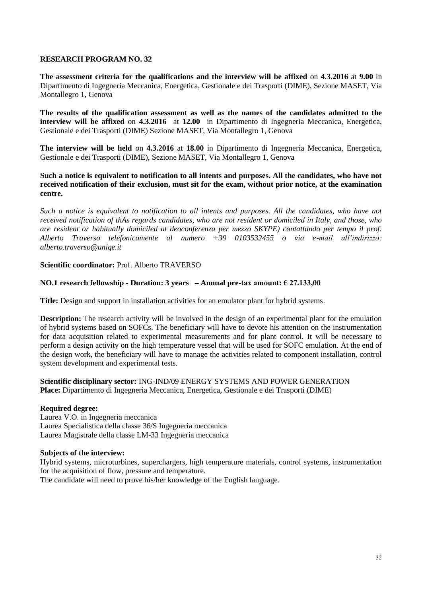**The assessment criteria for the qualifications and the interview will be affixed** on **4.3.2016** at **9.00** in Dipartimento di Ingegneria Meccanica, Energetica, Gestionale e dei Trasporti (DIME), Sezione MASET, Via Montallegro 1, Genova

**The results of the qualification assessment as well as the names of the candidates admitted to the interview will be affixed** on **4.3.2016** at **12.00** in Dipartimento di Ingegneria Meccanica, Energetica, Gestionale e dei Trasporti (DIME) Sezione MASET, Via Montallegro 1, Genova

**The interview will be held** on **4.3.2016** at **18.00** in Dipartimento di Ingegneria Meccanica, Energetica, Gestionale e dei Trasporti (DIME), Sezione MASET, Via Montallegro 1, Genova

#### **Such a notice is equivalent to notification to all intents and purposes. All the candidates, who have not received notification of their exclusion, must sit for the exam, without prior notice, at the examination centre.**

*Such a notice is equivalent to notification to all intents and purposes. All the candidates, who have not received notification of thAs regards candidates, who are not resident or domiciled in Italy, and those, who are resident or habitually domiciled at deoconferenza per mezzo SKYPE) contattando per tempo il prof. Alberto Traverso telefonicamente al numero +39 0103532455 o via e-mail all'indirizzo: alberto.traverso@unige.it*

# **Scientific coordinator:** Prof. Alberto TRAVERSO

# **NO.1 research fellowship - Duration: 3 years – Annual pre-tax amount: € 27.133,00**

**Title:** Design and support in installation activities for an emulator plant for hybrid systems.

**Description:** The research activity will be involved in the design of an experimental plant for the emulation of hybrid systems based on SOFCs. The beneficiary will have to devote his attention on the instrumentation for data acquisition related to experimental measurements and for plant control. It will be necessary to perform a design activity on the high temperature vessel that will be used for SOFC emulation. At the end of the design work, the beneficiary will have to manage the activities related to component installation, control system development and experimental tests.

## **Scientific disciplinary sector:** ING-IND/09 ENERGY SYSTEMS AND POWER GENERATION **Place:** Dipartimento di Ingegneria Meccanica, Energetica, Gestionale e dei Trasporti (DIME)

## **Required degree:**

Laurea V.O. in Ingegneria meccanica Laurea Specialistica della classe 36/S Ingegneria meccanica Laurea Magistrale della classe LM-33 Ingegneria meccanica

## **Subjects of the interview:**

Hybrid systems, microturbines, superchargers, high temperature materials, control systems, instrumentation for the acquisition of flow, pressure and temperature.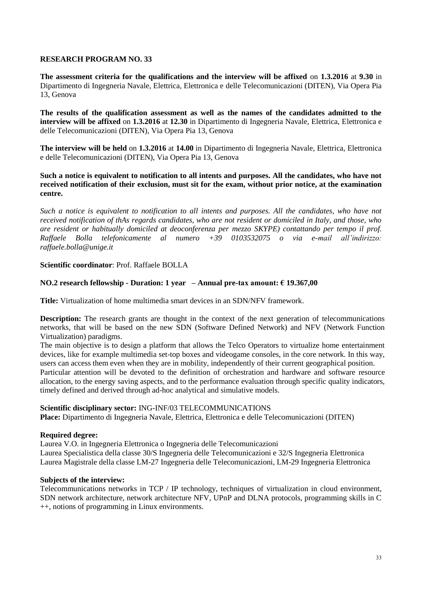**The assessment criteria for the qualifications and the interview will be affixed** on **1.3.2016** at **9.30** in Dipartimento di Ingegneria Navale, Elettrica, Elettronica e delle Telecomunicazioni (DITEN), Via Opera Pia 13, Genova

**The results of the qualification assessment as well as the names of the candidates admitted to the interview will be affixed** on **1.3.2016** at **12.30** in Dipartimento di Ingegneria Navale, Elettrica, Elettronica e delle Telecomunicazioni (DITEN), Via Opera Pia 13, Genova

**The interview will be held** on **1.3.2016** at **14.00** in Dipartimento di Ingegneria Navale, Elettrica, Elettronica e delle Telecomunicazioni (DITEN), Via Opera Pia 13, Genova

## **Such a notice is equivalent to notification to all intents and purposes. All the candidates, who have not received notification of their exclusion, must sit for the exam, without prior notice, at the examination centre.**

*Such a notice is equivalent to notification to all intents and purposes. All the candidates, who have not received notification of thAs regards candidates, who are not resident or domiciled in Italy, and those, who are resident or habitually domiciled at deoconferenza per mezzo SKYPE) contattando per tempo il prof. Raffaele Bolla telefonicamente al numero +39 0103532075 o via e-mail all'indirizzo: raffaele.bolla@unige.it*

# **Scientific coordinator**: Prof. Raffaele BOLLA

# **NO.2 research fellowship - Duration: 1 year – Annual pre-tax amount: € 19.367,00**

**Title:** Virtualization of home multimedia smart devices in an SDN/NFV framework.

**Description:** The research grants are thought in the context of the next generation of telecommunications networks, that will be based on the new SDN (Software Defined Network) and NFV (Network Function Virtualization) paradigms.

The main objective is to design a platform that allows the Telco Operators to virtualize home entertainment devices, like for example multimedia set-top boxes and videogame consoles, in the core network. In this way, users can access them even when they are in mobility, independently of their current geographical position. Particular attention will be devoted to the definition of orchestration and hardware and software resource allocation, to the energy saving aspects, and to the performance evaluation through specific quality indicators, timely defined and derived through ad-hoc analytical and simulative models.

## **Scientific disciplinary sector:** ING-INF/03 TELECOMMUNICATIONS

**Place:** Dipartimento di Ingegneria Navale, Elettrica, Elettronica e delle Telecomunicazioni (DITEN)

## **Required degree:**

Laurea V.O. in Ingegneria Elettronica o Ingegneria delle Telecomunicazioni Laurea Specialistica della classe 30/S Ingegneria delle Telecomunicazioni e 32/S Ingegneria Elettronica Laurea Magistrale della classe LM-27 Ingegneria delle Telecomunicazioni, LM-29 Ingegneria Elettronica

## **Subjects of the interview:**

Telecommunications networks in TCP / IP technology, techniques of virtualization in cloud environment, SDN network architecture, network architecture NFV, UPnP and DLNA protocols, programming skills in C ++, notions of programming in Linux environments.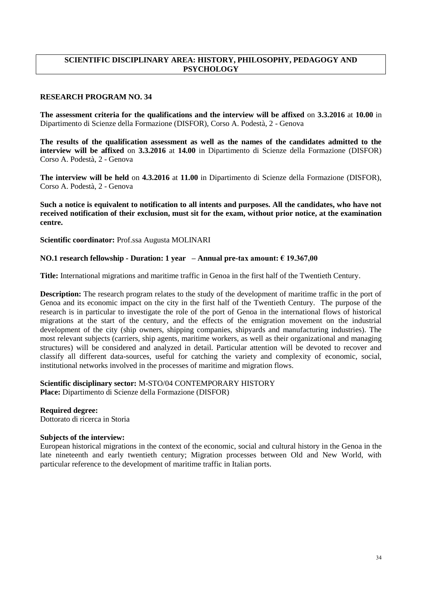# **SCIENTIFIC DISCIPLINARY AREA: HISTORY, PHILOSOPHY, PEDAGOGY AND PSYCHOLOGY**

#### **RESEARCH PROGRAM NO. 34**

**The assessment criteria for the qualifications and the interview will be affixed** on **3.3.2016** at **10.00** in Dipartimento di Scienze della Formazione (DISFOR), Corso A. Podestà, 2 - Genova

**The results of the qualification assessment as well as the names of the candidates admitted to the interview will be affixed** on **3.3.2016** at **14.00** in Dipartimento di Scienze della Formazione (DISFOR) Corso A. Podestà, 2 - Genova

**The interview will be held** on **4.3.2016** at **11.00** in Dipartimento di Scienze della Formazione (DISFOR), Corso A. Podestà, 2 - Genova

**Such a notice is equivalent to notification to all intents and purposes. All the candidates, who have not received notification of their exclusion, must sit for the exam, without prior notice, at the examination centre.**

**Scientific coordinator:** Prof.ssa Augusta MOLINARI

#### **NO.1 research fellowship - Duration: 1 year – Annual pre-tax amount: € 19.367,00**

**Title:** International migrations and maritime traffic in Genoa in the first half of the Twentieth Century.

**Description:** The research program relates to the study of the development of maritime traffic in the port of Genoa and its economic impact on the city in the first half of the Twentieth Century. The purpose of the research is in particular to investigate the role of the port of Genoa in the international flows of historical migrations at the start of the century, and the effects of the emigration movement on the industrial development of the city (ship owners, shipping companies, shipyards and manufacturing industries). The most relevant subjects (carriers, ship agents, maritime workers, as well as their organizational and managing structures) will be considered and analyzed in detail. Particular attention will be devoted to recover and classify all different data-sources, useful for catching the variety and complexity of economic, social, institutional networks involved in the processes of maritime and migration flows.

**Scientific disciplinary sector:** M-STO/04 CONTEMPORARY HISTORY **Place:** Dipartimento di Scienze della Formazione (DISFOR)

#### **Required degree:**

Dottorato di ricerca in Storia

#### **Subjects of the interview:**

European historical migrations in the context of the economic, social and cultural history in the Genoa in the late nineteenth and early twentieth century; Migration processes between Old and New World, with particular reference to the development of maritime traffic in Italian ports.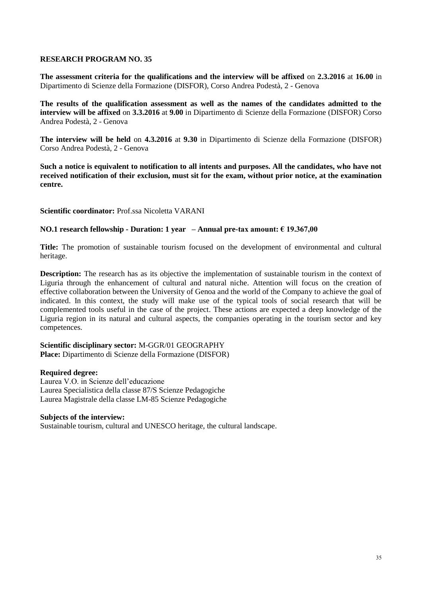**The assessment criteria for the qualifications and the interview will be affixed** on **2.3.2016** at **16.00** in Dipartimento di Scienze della Formazione (DISFOR), Corso Andrea Podestà, 2 - Genova

**The results of the qualification assessment as well as the names of the candidates admitted to the interview will be affixed** on **3.3.2016** at **9.00** in Dipartimento di Scienze della Formazione (DISFOR) Corso Andrea Podestà, 2 - Genova

**The interview will be held** on **4.3.2016** at **9.30** in Dipartimento di Scienze della Formazione (DISFOR) Corso Andrea Podestà, 2 - Genova

**Such a notice is equivalent to notification to all intents and purposes. All the candidates, who have not received notification of their exclusion, must sit for the exam, without prior notice, at the examination centre.**

**Scientific coordinator:** Prof.ssa Nicoletta VARANI

## **NO.1 research fellowship - Duration: 1 year – Annual pre-tax amount: € 19.367,00**

**Title:** The promotion of sustainable tourism focused on the development of environmental and cultural heritage.

**Description:** The research has as its objective the implementation of sustainable tourism in the context of Liguria through the enhancement of cultural and natural niche. Attention will focus on the creation of effective collaboration between the University of Genoa and the world of the Company to achieve the goal of indicated. In this context, the study will make use of the typical tools of social research that will be complemented tools useful in the case of the project. These actions are expected a deep knowledge of the Liguria region in its natural and cultural aspects, the companies operating in the tourism sector and key competences.

#### **Scientific disciplinary sector:** M-GGR/01 GEOGRAPHY **Place:** Dipartimento di Scienze della Formazione (DISFOR)

## **Required degree:**

Laurea V.O. in Scienze dell'educazione Laurea Specialistica della classe 87/S Scienze Pedagogiche Laurea Magistrale della classe LM-85 Scienze Pedagogiche

## **Subjects of the interview:**

Sustainable tourism, cultural and UNESCO heritage, the cultural landscape.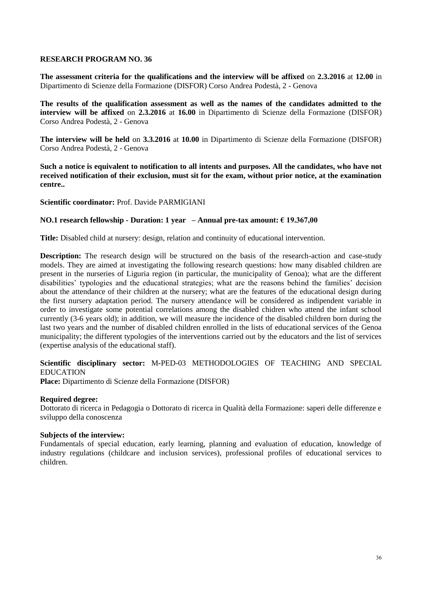**The assessment criteria for the qualifications and the interview will be affixed** on **2.3.2016** at **12.00** in Dipartimento di Scienze della Formazione (DISFOR) Corso Andrea Podestà, 2 - Genova

**The results of the qualification assessment as well as the names of the candidates admitted to the interview will be affixed** on **2.3.2016** at **16.00** in Dipartimento di Scienze della Formazione (DISFOR) Corso Andrea Podestà, 2 - Genova

**The interview will be held** on **3.3.2016** at **10.00** in Dipartimento di Scienze della Formazione (DISFOR) Corso Andrea Podestà, 2 - Genova

**Such a notice is equivalent to notification to all intents and purposes. All the candidates, who have not received notification of their exclusion, must sit for the exam, without prior notice, at the examination centre..**

## **Scientific coordinator:** Prof. Davide PARMIGIANI

#### **NO.1 research fellowship - Duration: 1 year – Annual pre-tax amount: € 19.367,00**

**Title:** Disabled child at nursery: design, relation and continuity of educational intervention.

**Description:** The research design will be structured on the basis of the research-action and case-study models. They are aimed at investigating the following research questions: how many disabled children are present in the nurseries of Liguria region (in particular, the municipality of Genoa); what are the different disabilities' typologies and the educational strategies; what are the reasons behind the families' decision about the attendance of their children at the nursery; what are the features of the educational design during the first nursery adaptation period. The nursery attendance will be considered as indipendent variable in order to investigate some potential correlations among the disabled chidren who attend the infant school currently (3-6 years old); in addition, we will measure the incidence of the disabled children born during the last two years and the number of disabled children enrolled in the lists of educational services of the Genoa municipality; the different typologies of the interventions carried out by the educators and the list of services (expertise analysis of the educational staff).

## **Scientific disciplinary sector:** M**-**PED-03 METHODOLOGIES OF TEACHING AND SPECIAL EDUCATION

**Place:** Dipartimento di Scienze della Formazione (DISFOR)

#### **Required degree:**

Dottorato di ricerca in Pedagogia o Dottorato di ricerca in Qualità della Formazione: saperi delle differenze e sviluppo della conoscenza

## **Subjects of the interview:**

Fundamentals of special education, early learning, planning and evaluation of education, knowledge of industry regulations (childcare and inclusion services), professional profiles of educational services to children.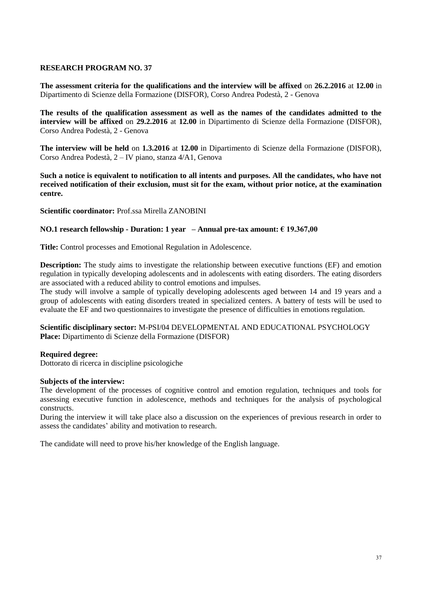**The assessment criteria for the qualifications and the interview will be affixed** on **26.2.2016** at **12.00** in Dipartimento di Scienze della Formazione (DISFOR), Corso Andrea Podestà, 2 - Genova

**The results of the qualification assessment as well as the names of the candidates admitted to the interview will be affixed** on **29.2.2016** at **12.00** in Dipartimento di Scienze della Formazione (DISFOR), Corso Andrea Podestà, 2 - Genova

**The interview will be held** on **1.3.2016** at **12.00** in Dipartimento di Scienze della Formazione (DISFOR), Corso Andrea Podestà, 2 – IV piano, stanza 4/A1, Genova

**Such a notice is equivalent to notification to all intents and purposes. All the candidates, who have not received notification of their exclusion, must sit for the exam, without prior notice, at the examination centre.**

**Scientific coordinator:** Prof.ssa Mirella ZANOBINI

## **NO.1 research fellowship - Duration: 1 year – Annual pre-tax amount: € 19.367,00**

**Title:** Control processes and Emotional Regulation in Adolescence.

**Description:** The study aims to investigate the relationship between executive functions (EF) and emotion regulation in typically developing adolescents and in adolescents with eating disorders. The eating disorders are associated with a reduced ability to control emotions and impulses.

The study will involve a sample of typically developing adolescents aged between 14 and 19 years and a group of adolescents with eating disorders treated in specialized centers. A battery of tests will be used to evaluate the EF and two questionnaires to investigate the presence of difficulties in emotions regulation.

**Scientific disciplinary sector:** M-PSI/04 DEVELOPMENTAL AND EDUCATIONAL PSYCHOLOGY **Place:** Dipartimento di Scienze della Formazione (DISFOR)

## **Required degree:**

Dottorato di ricerca in discipline psicologiche

#### **Subjects of the interview:**

The development of the processes of cognitive control and emotion regulation, techniques and tools for assessing executive function in adolescence, methods and techniques for the analysis of psychological constructs.

During the interview it will take place also a discussion on the experiences of previous research in order to assess the candidates' ability and motivation to research.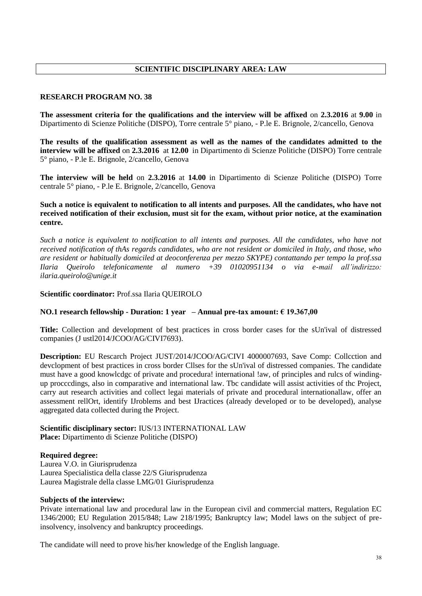# **SCIENTIFIC DISCIPLINARY AREA: LAW**

## **RESEARCH PROGRAM NO. 38**

**The assessment criteria for the qualifications and the interview will be affixed** on **2.3.2016** at **9.00** in Dipartimento di Scienze Politiche (DISPO), Torre centrale 5° piano, - P.le E. Brignole, 2/cancello, Genova

**The results of the qualification assessment as well as the names of the candidates admitted to the interview will be affixed** on **2.3.2016** at **12.00** in Dipartimento di Scienze Politiche (DISPO) Torre centrale 5° piano, - P.le E. Brignole, 2/cancello, Genova

**The interview will be held** on **2.3.2016** at **14.00** in Dipartimento di Scienze Politiche (DISPO) Torre centrale 5° piano, - P.le E. Brignole, 2/cancello, Genova

## **Such a notice is equivalent to notification to all intents and purposes. All the candidates, who have not received notification of their exclusion, must sit for the exam, without prior notice, at the examination centre.**

*Such a notice is equivalent to notification to all intents and purposes. All the candidates, who have not received notification of thAs regards candidates, who are not resident or domiciled in Italy, and those, who are resident or habitually domiciled at deoconferenza per mezzo SKYPE) contattando per tempo la prof.ssa Ilaria Queirolo telefonicamente al numero +39 01020951134 o via e-mail all'indirizzo: ilaria.queirolo@unige.it*

# **Scientific coordinator:** Prof.ssa Ilaria QUEIROLO

# **NO.1 research fellowship - Duration: 1 year – Annual pre-tax amount: € 19.367,00**

**Title:** Collection and development of best practices in cross border cases for the sUn'ival of distressed companies (J ustl2014/JCOO/AG/CIVI7693).

**Description:** EU Rescarch Project JUST/2014/JCOO/AG/CIVI 4000007693, Save Comp: Collcction and devclopment of best practices in cross border Cllses for the sUn'ival of distressed companies. The candidate must have a good knowlcdgc of private and procedura! international !aw, of principles and rulcs of windingup procccdings, also in comparative and international law. Tbc candidate will assist activities of thc Project, carry aut research activities and collect legai materials of private and procedural internationallaw, offer an assessment rellOrt, identify IJroblems and best IJractices (already developed or to be developed), analyse aggregated data collected during the Project.

## **Scientific disciplinary sector:** IUS/13 INTERNATIONAL LAW **Place:** Dipartimento di Scienze Politiche (DISPO)

## **Required degree:**

Laurea V.O. in Giurisprudenza Laurea Specialistica della classe 22/S Giurisprudenza Laurea Magistrale della classe LMG/01 Giurisprudenza

## **Subjects of the interview:**

Private international law and procedural law in the European civil and commercial matters, Regulation EC 1346/2000; EU Regulation 2015/848; Law 218/1995; Bankruptcy law; Model laws on the subject of preinsolvency, insolvency and bankruptcy proceedings.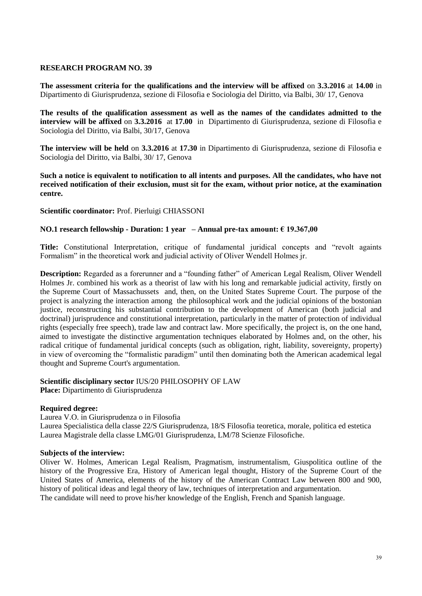**The assessment criteria for the qualifications and the interview will be affixed** on **3.3.2016** at **14.00** in Dipartimento di Giurisprudenza, sezione di Filosofia e Sociologia del Diritto, via Balbi, 30/ 17, Genova

**The results of the qualification assessment as well as the names of the candidates admitted to the interview will be affixed** on **3.3.2016** at **17.00** inDipartimento di Giurisprudenza, sezione di Filosofia e Sociologia del Diritto, via Balbi, 30/17, Genova

**The interview will be held** on **3.3.2016** at **17.30** in Dipartimento di Giurisprudenza, sezione di Filosofia e Sociologia del Diritto, via Balbi, 30/ 17, Genova

**Such a notice is equivalent to notification to all intents and purposes. All the candidates, who have not received notification of their exclusion, must sit for the exam, without prior notice, at the examination centre.**

**Scientific coordinator:** Prof. Pierluigi CHIASSONI

## **NO.1 research fellowship - Duration: 1 year – Annual pre-tax amount: € 19.367,00**

**Title:** Constitutional Interpretation, critique of fundamental juridical concepts and "revolt againts Formalism" in the theoretical work and judicial activity of Oliver Wendell Holmes jr.

**Description:** Regarded as a forerunner and a "founding father" of American Legal Realism, Oliver Wendell Holmes Jr. combined his work as a theorist of law with his long and remarkable judicial activity, firstly on the Supreme Court of Massachussets and, then, on the United States Supreme Court. The purpose of the project is analyzing the interaction among the philosophical work and the judicial opinions of the bostonian justice, reconstructing his substantial contribution to the development of American (both judicial and doctrinal) jurisprudence and constitutional interpretation, particularly in the matter of protection of individual rights (especially free speech), trade law and contract law. More specifically, the project is, on the one hand, aimed to investigate the distinctive argumentation techniques elaborated by Holmes and, on the other, his radical critique of fundamental juridical concepts (such as obligation, right, liability, sovereignty, property) in view of overcoming the "formalistic paradigm" until then dominating both the American academical legal thought and Supreme Court's argumentation.

#### **Scientific disciplinary sector** IUS/20 PHILOSOPHY OF LAW

**Place:** Dipartimento di Giurisprudenza

## **Required degree:**

Laurea V.O. in Giurisprudenza o in Filosofia Laurea Specialistica della classe 22/S Giurisprudenza, 18/S Filosofia teoretica, morale, politica ed estetica Laurea Magistrale della classe LMG/01 Giurisprudenza, LM/78 Scienze Filosofiche.

#### **Subjects of the interview:**

Oliver W. Holmes, American Legal Realism, Pragmatism, instrumentalism, Giuspolitica outline of the history of the Progressive Era, History of American legal thought, History of the Supreme Court of the United States of America, elements of the history of the American Contract Law between 800 and 900, history of political ideas and legal theory of law, techniques of interpretation and argumentation. The candidate will need to prove his/her knowledge of the English, French and Spanish language.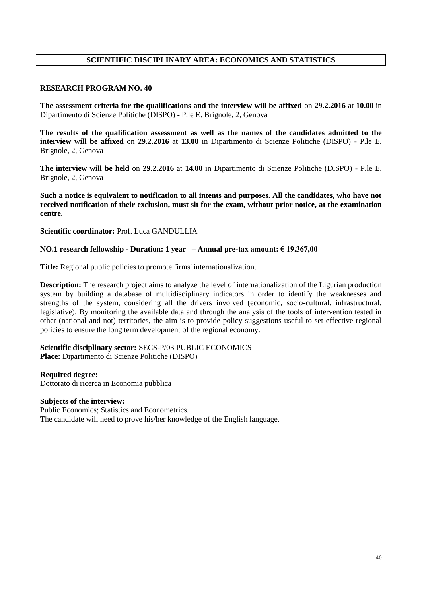# **SCIENTIFIC DISCIPLINARY AREA: ECONOMICS AND STATISTICS**

#### **RESEARCH PROGRAM NO. 40**

**The assessment criteria for the qualifications and the interview will be affixed** on **29.2.2016** at **10.00** in Dipartimento di Scienze Politiche (DISPO) - P.le E. Brignole, 2, Genova

**The results of the qualification assessment as well as the names of the candidates admitted to the interview will be affixed** on **29.2.2016** at **13.00** in Dipartimento di Scienze Politiche (DISPO) - P.le E. Brignole, 2, Genova

**The interview will be held** on **29.2.2016** at **14.00** in Dipartimento di Scienze Politiche (DISPO) - P.le E. Brignole, 2, Genova

**Such a notice is equivalent to notification to all intents and purposes. All the candidates, who have not received notification of their exclusion, must sit for the exam, without prior notice, at the examination centre.**

#### **Scientific coordinator:** Prof. Luca GANDULLIA

#### **NO.1 research fellowship - Duration: 1 year – Annual pre-tax amount: € 19.367,00**

**Title:** Regional public policies to promote firms' internationalization.

**Description:** The research project aims to analyze the level of internationalization of the Ligurian production system by building a database of multidisciplinary indicators in order to identify the weaknesses and strengths of the system, considering all the drivers involved (economic, socio-cultural, infrastructural, legislative). By monitoring the available data and through the analysis of the tools of intervention tested in other (national and not) territories, the aim is to provide policy suggestions useful to set effective regional policies to ensure the long term development of the regional economy.

#### **Scientific disciplinary sector:** SECS-P/03 PUBLIC ECONOMICS **Place:** Dipartimento di Scienze Politiche (DISPO)

**Required degree:** 

Dottorato di ricerca in Economia pubblica

#### **Subjects of the interview:**

Public Economics; Statistics and Econometrics. The candidate will need to prove his/her knowledge of the English language.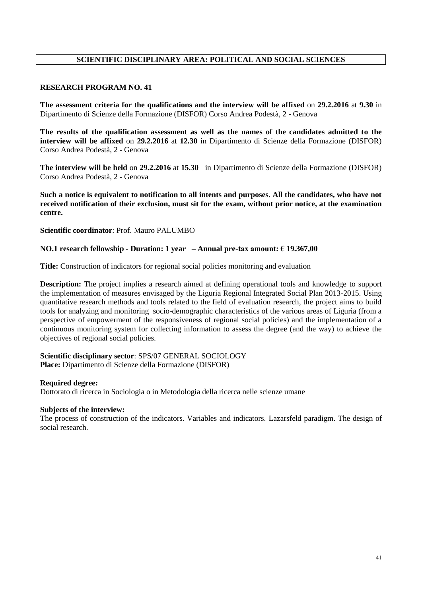# **SCIENTIFIC DISCIPLINARY AREA: POLITICAL AND SOCIAL SCIENCES**

## **RESEARCH PROGRAM NO. 41**

**The assessment criteria for the qualifications and the interview will be affixed** on **29.2.2016** at **9.30** in Dipartimento di Scienze della Formazione (DISFOR) Corso Andrea Podestà, 2 - Genova

**The results of the qualification assessment as well as the names of the candidates admitted to the interview will be affixed** on **29.2.2016** at **12.30** in Dipartimento di Scienze della Formazione (DISFOR) Corso Andrea Podestà, 2 - Genova

**The interview will be held** on **29.2.2016** at **15.30** in Dipartimento di Scienze della Formazione (DISFOR) Corso Andrea Podestà, 2 - Genova

**Such a notice is equivalent to notification to all intents and purposes. All the candidates, who have not received notification of their exclusion, must sit for the exam, without prior notice, at the examination centre.**

**Scientific coordinator**: Prof. Mauro PALUMBO

#### **NO.1 research fellowship - Duration: 1 year – Annual pre-tax amount: € 19.367,00**

**Title:** Construction of indicators for regional social policies monitoring and evaluation

**Description:** The project implies a research aimed at defining operational tools and knowledge to support the implementation of measures envisaged by the Liguria Regional Integrated Social Plan 2013-2015. Using quantitative research methods and tools related to the field of evaluation research, the project aims to build tools for analyzing and monitoring socio-demographic characteristics of the various areas of Liguria (from a perspective of empowerment of the responsiveness of regional social policies) and the implementation of a continuous monitoring system for collecting information to assess the degree (and the way) to achieve the objectives of regional social policies.

#### **Scientific disciplinary sector**: SPS/07 GENERAL SOCIOLOGY **Place:** Dipartimento di Scienze della Formazione (DISFOR)

#### **Required degree:**

Dottorato di ricerca in Sociologia o in Metodologia della ricerca nelle scienze umane

#### **Subjects of the interview:**

The process of construction of the indicators. Variables and indicators. Lazarsfeld paradigm. The design of social research.